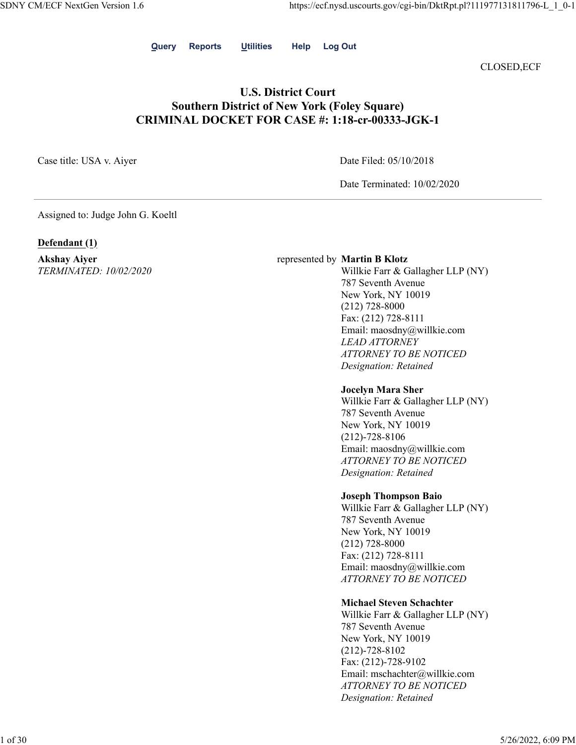**Query Reports Utilities Help Log Out**

CLOSED,ECF

## **U.S. District Court Southern District of New York (Foley Square) CRIMINAL DOCKET FOR CASE #: 1:18-cr-00333-JGK-1**

Case title: USA v. Aiyer Date Filed: 05/10/2018

Date Terminated: 10/02/2020

Assigned to: Judge John G. Koeltl

## **Defendant (1)**

**Akshay Aiyer** *TERMINATED: 10/02/2020*

#### represented by **Martin B Klotz**

Willkie Farr & Gallagher LLP (NY) 787 Seventh Avenue New York, NY 10019 (212) 728-8000 Fax: (212) 728-8111 Email: maosdny@willkie.com *LEAD ATTORNEY ATTORNEY TO BE NOTICED Designation: Retained*

#### **Jocelyn Mara Sher**

Willkie Farr & Gallagher LLP (NY) 787 Seventh Avenue New York, NY 10019 (212)-728-8106 Email: maosdny@willkie.com *ATTORNEY TO BE NOTICED Designation: Retained*

## **Joseph Thompson Baio**

Willkie Farr & Gallagher LLP (NY) 787 Seventh Avenue New York, NY 10019 (212) 728-8000 Fax: (212) 728-8111 Email: maosdny@willkie.com *ATTORNEY TO BE NOTICED*

## **Michael Steven Schachter**

Willkie Farr & Gallagher LLP (NY) 787 Seventh Avenue New York, NY 10019 (212)-728-8102 Fax: (212)-728-9102 Email: mschachter@willkie.com *ATTORNEY TO BE NOTICED Designation: Retained*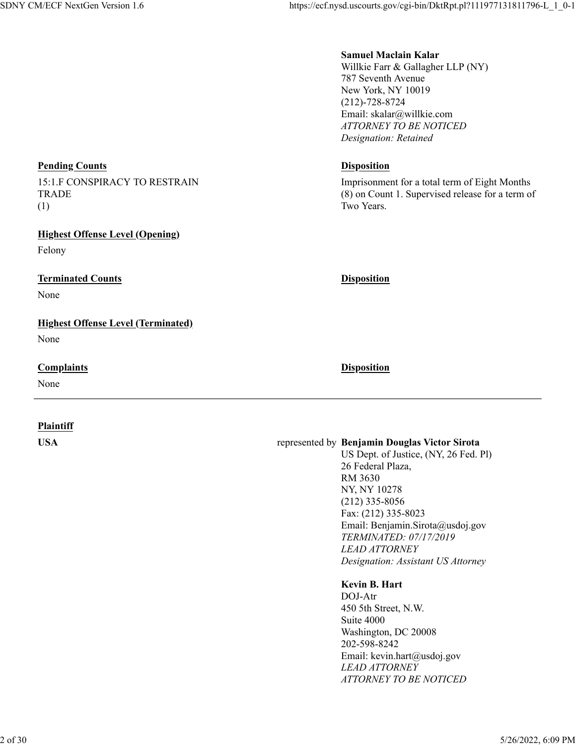# **Samuel Maclain Kalar**

Willkie Farr & Gallagher LLP (NY) 787 Seventh Avenue New York, NY 10019 (212)-728-8724 Email: skalar@willkie.com *ATTORNEY TO BE NOTICED Designation: Retained*

Imprisonment for a total term of Eight Months (8) on Count 1. Supervised release for a term of Two Years.

## **USA** represented by **Benjamin Douglas Victor Sirota**

US Dept. of Justice, (NY, 26 Fed. Pl) 26 Federal Plaza, RM 3630 NY, NY 10278 (212) 335-8056 Fax: (212) 335-8023 Email: Benjamin.Sirota@usdoj.gov *TERMINATED: 07/17/2019 LEAD ATTORNEY Designation: Assistant US Attorney*

## **Kevin B. Hart**

DOJ-Atr 450 5th Street, N.W. Suite 4000 Washington, DC 20008 202-598-8242 Email: kevin.hart@usdoj.gov *LEAD ATTORNEY ATTORNEY TO BE NOTICED*

## **Pending Counts Disposition**

15:1.F CONSPIRACY TO RESTRAIN TRADE (1)

## **Highest Offense Level (Opening)**

Felony

## **Terminated Counts Disposition**

None

## **Highest Offense Level (Terminated)**

None

## **Complaints Disposition**

None

## **Plaintiff**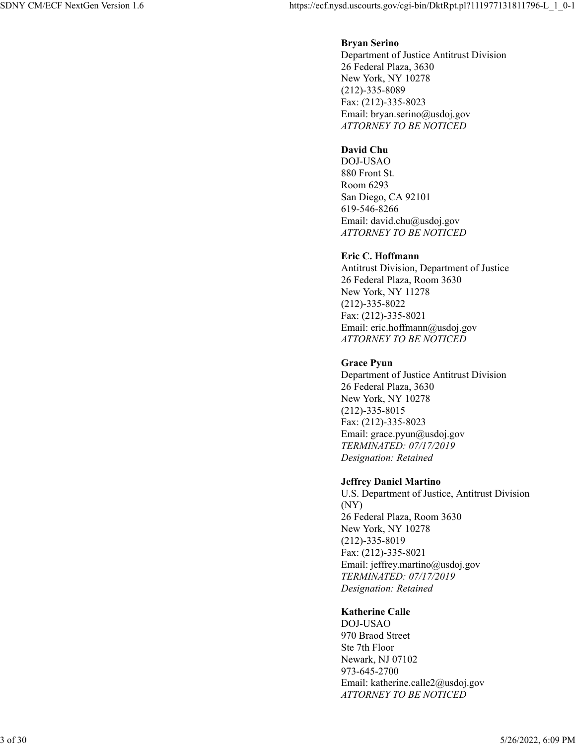## **Bryan Serino**

Department of Justice Antitrust Division 26 Federal Plaza, 3630 New York, NY 10278 (212)-335-8089 Fax: (212)-335-8023 Email: bryan.serino@usdoj.gov *ATTORNEY TO BE NOTICED*

## **David Chu**

DOJ-USAO 880 Front St. Room 6293 San Diego, CA 92101 619-546-8266 Email: david.chu@usdoj.gov *ATTORNEY TO BE NOTICED*

## **Eric C. Hoffmann**

Antitrust Division, Department of Justice 26 Federal Plaza, Room 3630 New York, NY 11278 (212)-335-8022 Fax: (212)-335-8021 Email: eric.hoffmann@usdoj.gov *ATTORNEY TO BE NOTICED*

## **Grace Pyun**

Department of Justice Antitrust Division 26 Federal Plaza, 3630 New York, NY 10278 (212)-335-8015 Fax: (212)-335-8023 Email: grace.pyun@usdoj.gov *TERMINATED: 07/17/2019 Designation: Retained*

#### **Jeffrey Daniel Martino**

U.S. Department of Justice, Antitrust Division (NY) 26 Federal Plaza, Room 3630 New York, NY 10278 (212)-335-8019 Fax: (212)-335-8021 Email: jeffrey.martino@usdoj.gov *TERMINATED: 07/17/2019 Designation: Retained*

## **Katherine Calle**

DOJ-USAO 970 Braod Street Ste 7th Floor Newark, NJ 07102 973-645-2700 Email: katherine.calle2@usdoj.gov *ATTORNEY TO BE NOTICED*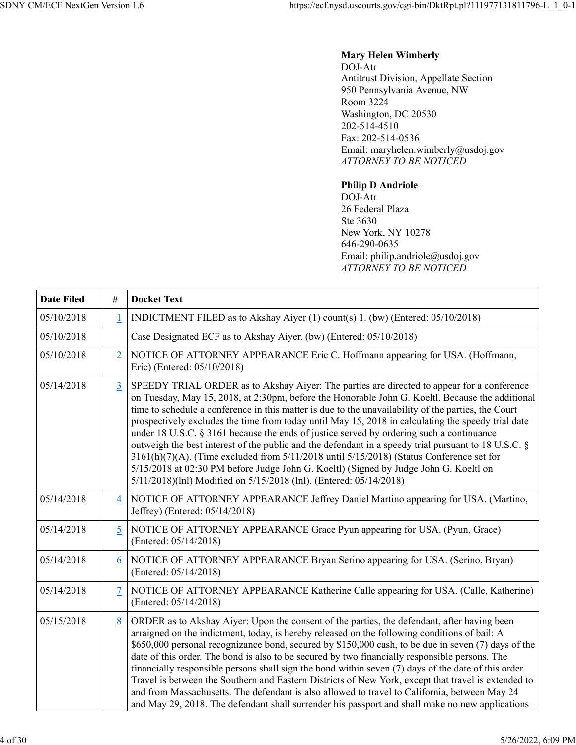## **Mary Helen Wimberly** DOJ-Atr Antitrust Division, Appellate Section 950 Pennsylvania Avenue, NW Room 3224 Washington, DC 20530 202-514-4510 Fax: 202-514-0536 Email: maryhelen.wimberly@usdoj.gov *ATTORNEY TO BE NOTICED*

## **Philip D Andriole**

DOJ-Atr 26 Federal Plaza Ste 3630 New York, NY 10278 646-290-0635 Email: philip.andriole@usdoj.gov *ATTORNEY TO BE NOTICED*

| <b>Date Filed</b> | $\#$           | <b>Docket Text</b>                                                                                                                                                                                                                                                                                                                                                                                                                                                                                                                                                                                                                                                                                                                                                                                                                                                            |
|-------------------|----------------|-------------------------------------------------------------------------------------------------------------------------------------------------------------------------------------------------------------------------------------------------------------------------------------------------------------------------------------------------------------------------------------------------------------------------------------------------------------------------------------------------------------------------------------------------------------------------------------------------------------------------------------------------------------------------------------------------------------------------------------------------------------------------------------------------------------------------------------------------------------------------------|
| 05/10/2018        | $\overline{1}$ | INDICTMENT FILED as to Akshay Aiyer (1) count(s) 1. (bw) (Entered: 05/10/2018)                                                                                                                                                                                                                                                                                                                                                                                                                                                                                                                                                                                                                                                                                                                                                                                                |
| 05/10/2018        |                | Case Designated ECF as to Akshay Aiyer. (bw) (Entered: 05/10/2018)                                                                                                                                                                                                                                                                                                                                                                                                                                                                                                                                                                                                                                                                                                                                                                                                            |
| 05/10/2018        | $\overline{2}$ | NOTICE OF ATTORNEY APPEARANCE Eric C. Hoffmann appearing for USA. (Hoffmann,<br>Eric) (Entered: 05/10/2018)                                                                                                                                                                                                                                                                                                                                                                                                                                                                                                                                                                                                                                                                                                                                                                   |
| 05/14/2018        | $\overline{3}$ | SPEEDY TRIAL ORDER as to Akshay Aiyer: The parties are directed to appear for a conference<br>on Tuesday, May 15, 2018, at 2:30pm, before the Honorable John G. Koeltl. Because the additional<br>time to schedule a conference in this matter is due to the unavailability of the parties, the Court<br>prospectively excludes the time from today until May 15, 2018 in calculating the speedy trial date<br>under 18 U.S.C. § 3161 because the ends of justice served by ordering such a continuance<br>outweigh the best interest of the public and the defendant in a speedy trial pursuant to 18 U.S.C. $\S$<br>3161(h)(7)(A). (Time excluded from 5/11/2018 until 5/15/2018) (Status Conference set for<br>5/15/2018 at 02:30 PM before Judge John G. Koeltl) (Signed by Judge John G. Koeltl on<br>5/11/2018)(lnl) Modified on 5/15/2018 (lnl). (Entered: 05/14/2018) |
| 05/14/2018        | $\overline{4}$ | NOTICE OF ATTORNEY APPEARANCE Jeffrey Daniel Martino appearing for USA. (Martino,<br>Jeffrey) (Entered: 05/14/2018)                                                                                                                                                                                                                                                                                                                                                                                                                                                                                                                                                                                                                                                                                                                                                           |
| 05/14/2018        | 5              | NOTICE OF ATTORNEY APPEARANCE Grace Pyun appearing for USA. (Pyun, Grace)<br>(Entered: 05/14/2018)                                                                                                                                                                                                                                                                                                                                                                                                                                                                                                                                                                                                                                                                                                                                                                            |
| 05/14/2018        | 6              | NOTICE OF ATTORNEY APPEARANCE Bryan Serino appearing for USA. (Serino, Bryan)<br>(Entered: 05/14/2018)                                                                                                                                                                                                                                                                                                                                                                                                                                                                                                                                                                                                                                                                                                                                                                        |
| 05/14/2018        | $\overline{7}$ | NOTICE OF ATTORNEY APPEARANCE Katherine Calle appearing for USA. (Calle, Katherine)<br>(Entered: 05/14/2018)                                                                                                                                                                                                                                                                                                                                                                                                                                                                                                                                                                                                                                                                                                                                                                  |
| 05/15/2018        | 8              | ORDER as to Akshay Aiyer: Upon the consent of the parties, the defendant, after having been<br>arraigned on the indictment, today, is hereby released on the following conditions of bail: A<br>\$650,000 personal recognizance bond, secured by \$150,000 cash, to be due in seven (7) days of the<br>date of this order. The bond is also to be secured by two financially responsible persons. The<br>financially responsible persons shall sign the bond within seven (7) days of the date of this order.<br>Travel is between the Southern and Eastern Districts of New York, except that travel is extended to<br>and from Massachusetts. The defendant is also allowed to travel to California, between May 24<br>and May 29, 2018. The defendant shall surrender his passport and shall make no new applications                                                      |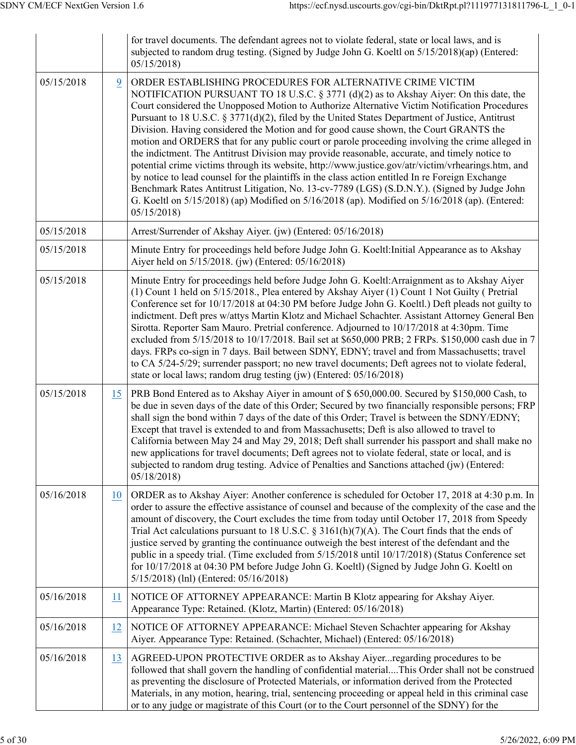|            |    | for travel documents. The defendant agrees not to violate federal, state or local laws, and is<br>subjected to random drug testing. (Signed by Judge John G. Koeltl on 5/15/2018)(ap) (Entered:<br>05/15/2018                                                                                                                                                                                                                                                                                                                                                                                                                                                                                                                                                                                                                                                                                                                                                                                                                                                                   |
|------------|----|---------------------------------------------------------------------------------------------------------------------------------------------------------------------------------------------------------------------------------------------------------------------------------------------------------------------------------------------------------------------------------------------------------------------------------------------------------------------------------------------------------------------------------------------------------------------------------------------------------------------------------------------------------------------------------------------------------------------------------------------------------------------------------------------------------------------------------------------------------------------------------------------------------------------------------------------------------------------------------------------------------------------------------------------------------------------------------|
| 05/15/2018 | 9  | ORDER ESTABLISHING PROCEDURES FOR ALTERNATIVE CRIME VICTIM<br>NOTIFICATION PURSUANT TO 18 U.S.C. § 3771 (d)(2) as to Akshay Aiyer: On this date, the<br>Court considered the Unopposed Motion to Authorize Alternative Victim Notification Procedures<br>Pursuant to 18 U.S.C. § 3771(d)(2), filed by the United States Department of Justice, Antitrust<br>Division. Having considered the Motion and for good cause shown, the Court GRANTS the<br>motion and ORDERS that for any public court or parole proceeding involving the crime alleged in<br>the indictment. The Antitrust Division may provide reasonable, accurate, and timely notice to<br>potential crime victims through its website, http://www.justice.gov/atr/victim/vrhearings.htm, and<br>by notice to lead counsel for the plaintiffs in the class action entitled In re Foreign Exchange<br>Benchmark Rates Antitrust Litigation, No. 13-cv-7789 (LGS) (S.D.N.Y.). (Signed by Judge John<br>G. Koeltl on 5/15/2018) (ap) Modified on 5/16/2018 (ap). Modified on 5/16/2018 (ap). (Entered:<br>05/15/2018 |
| 05/15/2018 |    | Arrest/Surrender of Akshay Aiyer. (jw) (Entered: 05/16/2018)                                                                                                                                                                                                                                                                                                                                                                                                                                                                                                                                                                                                                                                                                                                                                                                                                                                                                                                                                                                                                    |
| 05/15/2018 |    | Minute Entry for proceedings held before Judge John G. Koeltl: Initial Appearance as to Akshay<br>Aiyer held on 5/15/2018. (jw) (Entered: 05/16/2018)                                                                                                                                                                                                                                                                                                                                                                                                                                                                                                                                                                                                                                                                                                                                                                                                                                                                                                                           |
| 05/15/2018 |    | Minute Entry for proceedings held before Judge John G. Koeltl: Arraignment as to Akshay Aiyer<br>(1) Count 1 held on 5/15/2018., Plea entered by Akshay Aiyer (1) Count 1 Not Guilty (Pretrial<br>Conference set for 10/17/2018 at 04:30 PM before Judge John G. Koeltl.) Deft pleads not guilty to<br>indictment. Deft pres w/attys Martin Klotz and Michael Schachter. Assistant Attorney General Ben<br>Sirotta. Reporter Sam Mauro. Pretrial conference. Adjourned to 10/17/2018 at 4:30pm. Time<br>excluded from 5/15/2018 to 10/17/2018. Bail set at \$650,000 PRB; 2 FRPs. \$150,000 cash due in 7<br>days. FRPs co-sign in 7 days. Bail between SDNY, EDNY; travel and from Massachusetts; travel<br>to CA 5/24-5/29; surrender passport; no new travel documents; Deft agrees not to violate federal,<br>state or local laws; random drug testing (jw) (Entered: 05/16/2018)                                                                                                                                                                                           |
| 05/15/2018 | 15 | PRB Bond Entered as to Akshay Aiyer in amount of \$650,000.00. Secured by \$150,000 Cash, to<br>be due in seven days of the date of this Order; Secured by two financially responsible persons; FRP<br>shall sign the bond within 7 days of the date of this Order; Travel is between the SDNY/EDNY;<br>Except that travel is extended to and from Massachusetts; Deft is also allowed to travel to<br>California between May 24 and May 29, 2018; Deft shall surrender his passport and shall make no<br>new applications for travel documents; Deft agrees not to violate federal, state or local, and is<br>subjected to random drug testing. Advice of Penalties and Sanctions attached (jw) (Entered:<br>05/18/2018                                                                                                                                                                                                                                                                                                                                                        |
| 05/16/2018 | 10 | ORDER as to Akshay Aiyer: Another conference is scheduled for October 17, 2018 at 4:30 p.m. In<br>order to assure the effective assistance of counsel and because of the complexity of the case and the<br>amount of discovery, the Court excludes the time from today until October 17, 2018 from Speedy<br>Trial Act calculations pursuant to 18 U.S.C. § 3161(h)(7)(A). The Court finds that the ends of<br>justice served by granting the continuance outweigh the best interest of the defendant and the<br>public in a speedy trial. (Time excluded from $5/15/2018$ until $10/17/2018$ ) (Status Conference set<br>for 10/17/2018 at 04:30 PM before Judge John G. Koeltl) (Signed by Judge John G. Koeltl on<br>5/15/2018) (lnl) (Entered: 05/16/2018)                                                                                                                                                                                                                                                                                                                  |
| 05/16/2018 | 11 | NOTICE OF ATTORNEY APPEARANCE: Martin B Klotz appearing for Akshay Aiyer.<br>Appearance Type: Retained. (Klotz, Martin) (Entered: 05/16/2018)                                                                                                                                                                                                                                                                                                                                                                                                                                                                                                                                                                                                                                                                                                                                                                                                                                                                                                                                   |
| 05/16/2018 | 12 | NOTICE OF ATTORNEY APPEARANCE: Michael Steven Schachter appearing for Akshay<br>Aiyer. Appearance Type: Retained. (Schachter, Michael) (Entered: 05/16/2018)                                                                                                                                                                                                                                                                                                                                                                                                                                                                                                                                                                                                                                                                                                                                                                                                                                                                                                                    |
| 05/16/2018 | 13 | AGREED-UPON PROTECTIVE ORDER as to Akshay Aiyer regarding procedures to be<br>followed that shall govern the handling of confidential materialThis Order shall not be construed<br>as preventing the disclosure of Protected Materials, or information derived from the Protected<br>Materials, in any motion, hearing, trial, sentencing proceeding or appeal held in this criminal case<br>or to any judge or magistrate of this Court (or to the Court personnel of the SDNY) for the                                                                                                                                                                                                                                                                                                                                                                                                                                                                                                                                                                                        |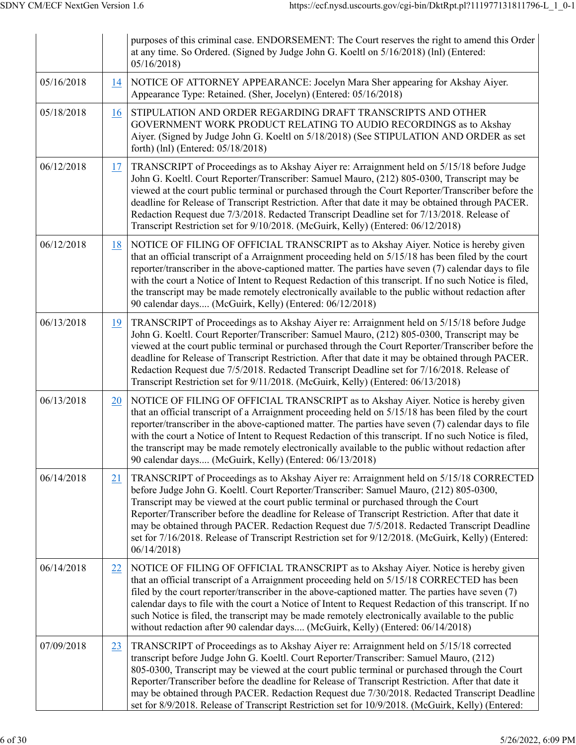|            |           | purposes of this criminal case. ENDORSEMENT: The Court reserves the right to amend this Order<br>at any time. So Ordered. (Signed by Judge John G. Koeltl on 5/16/2018) (lnl) (Entered:<br>05/16/2018                                                                                                                                                                                                                                                                                                                                                                                             |
|------------|-----------|---------------------------------------------------------------------------------------------------------------------------------------------------------------------------------------------------------------------------------------------------------------------------------------------------------------------------------------------------------------------------------------------------------------------------------------------------------------------------------------------------------------------------------------------------------------------------------------------------|
| 05/16/2018 | 14        | NOTICE OF ATTORNEY APPEARANCE: Jocelyn Mara Sher appearing for Akshay Aiyer.<br>Appearance Type: Retained. (Sher, Jocelyn) (Entered: 05/16/2018)                                                                                                                                                                                                                                                                                                                                                                                                                                                  |
| 05/18/2018 | 16        | STIPULATION AND ORDER REGARDING DRAFT TRANSCRIPTS AND OTHER<br>GOVERNMENT WORK PRODUCT RELATING TO AUDIO RECORDINGS as to Akshay<br>Aiyer. (Signed by Judge John G. Koeltl on 5/18/2018) (See STIPULATION AND ORDER as set<br>forth) (lnl) (Entered: 05/18/2018)                                                                                                                                                                                                                                                                                                                                  |
| 06/12/2018 | 17        | TRANSCRIPT of Proceedings as to Akshay Aiyer re: Arraignment held on 5/15/18 before Judge<br>John G. Koeltl. Court Reporter/Transcriber: Samuel Mauro, (212) 805-0300, Transcript may be<br>viewed at the court public terminal or purchased through the Court Reporter/Transcriber before the<br>deadline for Release of Transcript Restriction. After that date it may be obtained through PACER.<br>Redaction Request due 7/3/2018. Redacted Transcript Deadline set for 7/13/2018. Release of<br>Transcript Restriction set for 9/10/2018. (McGuirk, Kelly) (Entered: 06/12/2018)             |
| 06/12/2018 | 18        | NOTICE OF FILING OF OFFICIAL TRANSCRIPT as to Akshay Aiyer. Notice is hereby given<br>that an official transcript of a Arraignment proceeding held on $5/15/18$ has been filed by the court<br>reporter/transcriber in the above-captioned matter. The parties have seven (7) calendar days to file<br>with the court a Notice of Intent to Request Redaction of this transcript. If no such Notice is filed,<br>the transcript may be made remotely electronically available to the public without redaction after<br>90 calendar days (McGuirk, Kelly) (Entered: 06/12/2018)                    |
| 06/13/2018 | <u>19</u> | TRANSCRIPT of Proceedings as to Akshay Aiyer re: Arraignment held on 5/15/18 before Judge<br>John G. Koeltl. Court Reporter/Transcriber: Samuel Mauro, (212) 805-0300, Transcript may be<br>viewed at the court public terminal or purchased through the Court Reporter/Transcriber before the<br>deadline for Release of Transcript Restriction. After that date it may be obtained through PACER.<br>Redaction Request due 7/5/2018. Redacted Transcript Deadline set for 7/16/2018. Release of<br>Transcript Restriction set for 9/11/2018. (McGuirk, Kelly) (Entered: 06/13/2018)             |
| 06/13/2018 | 20        | NOTICE OF FILING OF OFFICIAL TRANSCRIPT as to Akshay Aiyer. Notice is hereby given<br>that an official transcript of a Arraignment proceeding held on 5/15/18 has been filed by the court<br>reporter/transcriber in the above-captioned matter. The parties have seven (7) calendar days to file<br>with the court a Notice of Intent to Request Redaction of this transcript. If no such Notice is filed,<br>the transcript may be made remotely electronically available to the public without redaction after<br>90 calendar days (McGuirk, Kelly) (Entered: 06/13/2018)                      |
| 06/14/2018 | 21        | TRANSCRIPT of Proceedings as to Akshay Aiyer re: Arraignment held on 5/15/18 CORRECTED<br>before Judge John G. Koeltl. Court Reporter/Transcriber: Samuel Mauro, (212) 805-0300,<br>Transcript may be viewed at the court public terminal or purchased through the Court<br>Reporter/Transcriber before the deadline for Release of Transcript Restriction. After that date it<br>may be obtained through PACER. Redaction Request due 7/5/2018. Redacted Transcript Deadline<br>set for 7/16/2018. Release of Transcript Restriction set for 9/12/2018. (McGuirk, Kelly) (Entered:<br>06/14/2018 |
| 06/14/2018 | 22        | NOTICE OF FILING OF OFFICIAL TRANSCRIPT as to Akshay Aiyer. Notice is hereby given<br>that an official transcript of a Arraignment proceeding held on 5/15/18 CORRECTED has been<br>filed by the court reporter/transcriber in the above-captioned matter. The parties have seven (7)<br>calendar days to file with the court a Notice of Intent to Request Redaction of this transcript. If no<br>such Notice is filed, the transcript may be made remotely electronically available to the public<br>without redaction after 90 calendar days (McGuirk, Kelly) (Entered: 06/14/2018)            |
| 07/09/2018 | 23        | TRANSCRIPT of Proceedings as to Akshay Aiyer re: Arraignment held on 5/15/18 corrected<br>transcript before Judge John G. Koeltl. Court Reporter/Transcriber: Samuel Mauro, (212)<br>805-0300, Transcript may be viewed at the court public terminal or purchased through the Court<br>Reporter/Transcriber before the deadline for Release of Transcript Restriction. After that date it<br>may be obtained through PACER. Redaction Request due 7/30/2018. Redacted Transcript Deadline<br>set for 8/9/2018. Release of Transcript Restriction set for 10/9/2018. (McGuirk, Kelly) (Entered:    |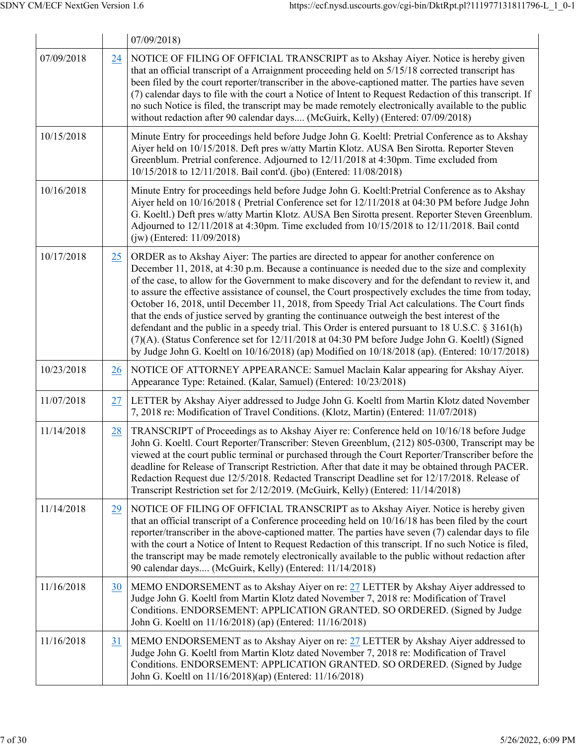|            |    | 07/09/2018                                                                                                                                                                                                                                                                                                                                                                                                                                                                                                                                                                                                                                                                                                                                                                                                                                                                                                                    |
|------------|----|-------------------------------------------------------------------------------------------------------------------------------------------------------------------------------------------------------------------------------------------------------------------------------------------------------------------------------------------------------------------------------------------------------------------------------------------------------------------------------------------------------------------------------------------------------------------------------------------------------------------------------------------------------------------------------------------------------------------------------------------------------------------------------------------------------------------------------------------------------------------------------------------------------------------------------|
| 07/09/2018 | 24 | NOTICE OF FILING OF OFFICIAL TRANSCRIPT as to Akshay Aiyer. Notice is hereby given<br>that an official transcript of a Arraignment proceeding held on 5/15/18 corrected transcript has<br>been filed by the court reporter/transcriber in the above-captioned matter. The parties have seven<br>(7) calendar days to file with the court a Notice of Intent to Request Redaction of this transcript. If<br>no such Notice is filed, the transcript may be made remotely electronically available to the public<br>without redaction after 90 calendar days (McGuirk, Kelly) (Entered: 07/09/2018)                                                                                                                                                                                                                                                                                                                             |
| 10/15/2018 |    | Minute Entry for proceedings held before Judge John G. Koeltl: Pretrial Conference as to Akshay<br>Aiyer held on 10/15/2018. Deft pres w/atty Martin Klotz. AUSA Ben Sirotta. Reporter Steven<br>Greenblum. Pretrial conference. Adjourned to 12/11/2018 at 4:30pm. Time excluded from<br>10/15/2018 to 12/11/2018. Bail cont'd. (jbo) (Entered: 11/08/2018)                                                                                                                                                                                                                                                                                                                                                                                                                                                                                                                                                                  |
| 10/16/2018 |    | Minute Entry for proceedings held before Judge John G. Koeltl: Pretrial Conference as to Akshay<br>Aiyer held on 10/16/2018 (Pretrial Conference set for 12/11/2018 at 04:30 PM before Judge John<br>G. Koeltl.) Deft pres w/atty Martin Klotz. AUSA Ben Sirotta present. Reporter Steven Greenblum.<br>Adjourned to 12/11/2018 at 4:30pm. Time excluded from 10/15/2018 to 12/11/2018. Bail contd<br>(jw) (Entered: 11/09/2018)                                                                                                                                                                                                                                                                                                                                                                                                                                                                                              |
| 10/17/2018 | 25 | ORDER as to Akshay Aiyer: The parties are directed to appear for another conference on<br>December 11, 2018, at 4:30 p.m. Because a continuance is needed due to the size and complexity<br>of the case, to allow for the Government to make discovery and for the defendant to review it, and<br>to assure the effective assistance of counsel, the Court prospectively excludes the time from today,<br>October 16, 2018, until December 11, 2018, from Speedy Trial Act calculations. The Court finds<br>that the ends of justice served by granting the continuance outweigh the best interest of the<br>defendant and the public in a speedy trial. This Order is entered pursuant to 18 U.S.C. $\S 3161(h)$<br>(7)(A). (Status Conference set for 12/11/2018 at 04:30 PM before Judge John G. Koeltl) (Signed<br>by Judge John G. Koeltl on $10/16/2018$ ) (ap) Modified on $10/18/2018$ (ap). (Entered: $10/17/2018$ ) |
| 10/23/2018 | 26 | NOTICE OF ATTORNEY APPEARANCE: Samuel Maclain Kalar appearing for Akshay Aiyer.<br>Appearance Type: Retained. (Kalar, Samuel) (Entered: 10/23/2018)                                                                                                                                                                                                                                                                                                                                                                                                                                                                                                                                                                                                                                                                                                                                                                           |
| 11/07/2018 | 27 | LETTER by Akshay Aiyer addressed to Judge John G. Koeltl from Martin Klotz dated November<br>7, 2018 re: Modification of Travel Conditions. (Klotz, Martin) (Entered: 11/07/2018)                                                                                                                                                                                                                                                                                                                                                                                                                                                                                                                                                                                                                                                                                                                                             |
| 11/14/2018 | 28 | TRANSCRIPT of Proceedings as to Akshay Aiyer re: Conference held on 10/16/18 before Judge<br>John G. Koeltl. Court Reporter/Transcriber: Steven Greenblum, (212) 805-0300, Transcript may be<br>viewed at the court public terminal or purchased through the Court Reporter/Transcriber before the<br>deadline for Release of Transcript Restriction. After that date it may be obtained through PACER.<br>Redaction Request due 12/5/2018. Redacted Transcript Deadline set for 12/17/2018. Release of<br>Transcript Restriction set for 2/12/2019. (McGuirk, Kelly) (Entered: 11/14/2018)                                                                                                                                                                                                                                                                                                                                   |
| 11/14/2018 | 29 | NOTICE OF FILING OF OFFICIAL TRANSCRIPT as to Akshay Aiyer. Notice is hereby given<br>that an official transcript of a Conference proceeding held on $10/16/18$ has been filed by the court<br>reporter/transcriber in the above-captioned matter. The parties have seven (7) calendar days to file<br>with the court a Notice of Intent to Request Redaction of this transcript. If no such Notice is filed,<br>the transcript may be made remotely electronically available to the public without redaction after<br>90 calendar days (McGuirk, Kelly) (Entered: 11/14/2018)                                                                                                                                                                                                                                                                                                                                                |
| 11/16/2018 | 30 | MEMO ENDORSEMENT as to Akshay Aiyer on re: 27 LETTER by Akshay Aiyer addressed to<br>Judge John G. Koeltl from Martin Klotz dated November 7, 2018 re: Modification of Travel<br>Conditions. ENDORSEMENT: APPLICATION GRANTED. SO ORDERED. (Signed by Judge<br>John G. Koeltl on 11/16/2018) (ap) (Entered: 11/16/2018)                                                                                                                                                                                                                                                                                                                                                                                                                                                                                                                                                                                                       |
| 11/16/2018 | 31 | MEMO ENDORSEMENT as to Akshay Aiyer on re: 27 LETTER by Akshay Aiyer addressed to<br>Judge John G. Koeltl from Martin Klotz dated November 7, 2018 re: Modification of Travel<br>Conditions. ENDORSEMENT: APPLICATION GRANTED. SO ORDERED. (Signed by Judge<br>John G. Koeltl on 11/16/2018)(ap) (Entered: 11/16/2018)                                                                                                                                                                                                                                                                                                                                                                                                                                                                                                                                                                                                        |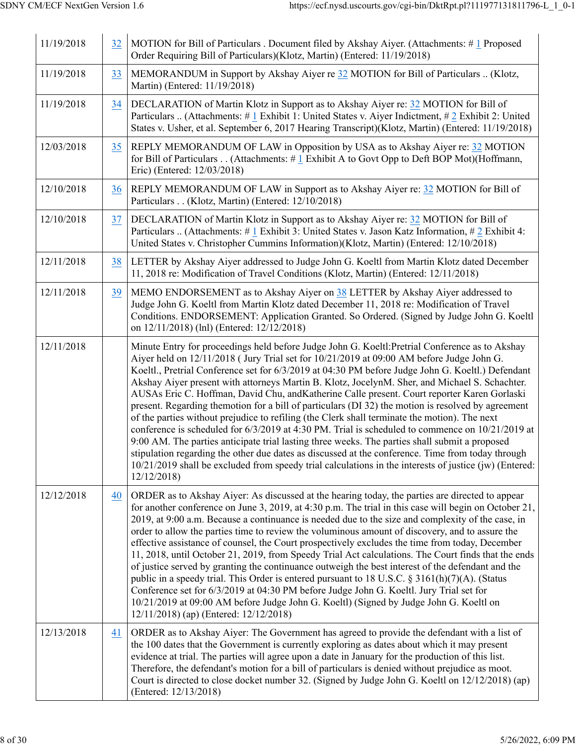| 11/19/2018 | 32 | MOTION for Bill of Particulars . Document filed by Akshay Aiyer. (Attachments: #1 Proposed<br>Order Requiring Bill of Particulars)(Klotz, Martin) (Entered: 11/19/2018)                                                                                                                                                                                                                                                                                                                                                                                                                                                                                                                                                                                                                                                                                                                                                                                                                                                                                                                                                                          |
|------------|----|--------------------------------------------------------------------------------------------------------------------------------------------------------------------------------------------------------------------------------------------------------------------------------------------------------------------------------------------------------------------------------------------------------------------------------------------------------------------------------------------------------------------------------------------------------------------------------------------------------------------------------------------------------------------------------------------------------------------------------------------------------------------------------------------------------------------------------------------------------------------------------------------------------------------------------------------------------------------------------------------------------------------------------------------------------------------------------------------------------------------------------------------------|
| 11/19/2018 | 33 | MEMORANDUM in Support by Akshay Aiyer re 32 MOTION for Bill of Particulars  (Klotz,<br>Martin) (Entered: 11/19/2018)                                                                                                                                                                                                                                                                                                                                                                                                                                                                                                                                                                                                                                                                                                                                                                                                                                                                                                                                                                                                                             |
| 11/19/2018 | 34 | DECLARATION of Martin Klotz in Support as to Akshay Aiyer re: 32 MOTION for Bill of<br>Particulars  (Attachments: # 1 Exhibit 1: United States v. Aiyer Indictment, # 2 Exhibit 2: United<br>States v. Usher, et al. September 6, 2017 Hearing Transcript)(Klotz, Martin) (Entered: 11/19/2018)                                                                                                                                                                                                                                                                                                                                                                                                                                                                                                                                                                                                                                                                                                                                                                                                                                                  |
| 12/03/2018 | 35 | REPLY MEMORANDUM OF LAW in Opposition by USA as to Akshay Aiyer re: 32 MOTION<br>for Bill of Particulars (Attachments: #1 Exhibit A to Govt Opp to Deft BOP Mot)(Hoffmann,<br>Eric) (Entered: 12/03/2018)                                                                                                                                                                                                                                                                                                                                                                                                                                                                                                                                                                                                                                                                                                                                                                                                                                                                                                                                        |
| 12/10/2018 | 36 | REPLY MEMORANDUM OF LAW in Support as to Akshay Aiyer re: 32 MOTION for Bill of<br>Particulars (Klotz, Martin) (Entered: 12/10/2018)                                                                                                                                                                                                                                                                                                                                                                                                                                                                                                                                                                                                                                                                                                                                                                                                                                                                                                                                                                                                             |
| 12/10/2018 | 37 | DECLARATION of Martin Klotz in Support as to Akshay Aiyer re: 32 MOTION for Bill of<br>Particulars  (Attachments: # 1 Exhibit 3: United States v. Jason Katz Information, # 2 Exhibit 4:<br>United States v. Christopher Cummins Information)(Klotz, Martin) (Entered: 12/10/2018)                                                                                                                                                                                                                                                                                                                                                                                                                                                                                                                                                                                                                                                                                                                                                                                                                                                               |
| 12/11/2018 | 38 | LETTER by Akshay Aiyer addressed to Judge John G. Koeltl from Martin Klotz dated December<br>11, 2018 re: Modification of Travel Conditions (Klotz, Martin) (Entered: 12/11/2018)                                                                                                                                                                                                                                                                                                                                                                                                                                                                                                                                                                                                                                                                                                                                                                                                                                                                                                                                                                |
| 12/11/2018 | 39 | MEMO ENDORSEMENT as to Akshay Aiyer on 38 LETTER by Akshay Aiyer addressed to<br>Judge John G. Koeltl from Martin Klotz dated December 11, 2018 re: Modification of Travel<br>Conditions. ENDORSEMENT: Application Granted. So Ordered. (Signed by Judge John G. Koeltl<br>on 12/11/2018) (lnl) (Entered: 12/12/2018)                                                                                                                                                                                                                                                                                                                                                                                                                                                                                                                                                                                                                                                                                                                                                                                                                            |
| 12/11/2018 |    | Minute Entry for proceedings held before Judge John G. Koeltl: Pretrial Conference as to Akshay<br>Aiyer held on 12/11/2018 (Jury Trial set for 10/21/2019 at 09:00 AM before Judge John G.<br>Koeltl., Pretrial Conference set for 6/3/2019 at 04:30 PM before Judge John G. Koeltl.) Defendant<br>Akshay Aiyer present with attorneys Martin B. Klotz, JocelynM. Sher, and Michael S. Schachter.<br>AUSAs Eric C. Hoffman, David Chu, and Katherine Calle present. Court reporter Karen Gorlaski<br>present. Regarding themotion for a bill of particulars (DI 32) the motion is resolved by agreement<br>of the parties without prejudice to refiling (the Clerk shall terminate the motion). The next<br>conference is scheduled for $6/3/2019$ at 4:30 PM. Trial is scheduled to commence on $10/21/2019$ at<br>9:00 AM. The parties anticipate trial lasting three weeks. The parties shall submit a proposed<br>stipulation regarding the other due dates as discussed at the conference. Time from today through<br>10/21/2019 shall be excluded from speedy trial calculations in the interests of justice (jw) (Entered:<br>12/12/2018 |
| 12/12/2018 | 40 | ORDER as to Akshay Aiyer: As discussed at the hearing today, the parties are directed to appear<br>for another conference on June 3, 2019, at 4:30 p.m. The trial in this case will begin on October 21,<br>2019, at 9:00 a.m. Because a continuance is needed due to the size and complexity of the case, in<br>order to allow the parties time to review the voluminous amount of discovery, and to assure the<br>effective assistance of counsel, the Court prospectively excludes the time from today, December<br>11, 2018, until October 21, 2019, from Speedy Trial Act calculations. The Court finds that the ends<br>of justice served by granting the continuance outweigh the best interest of the defendant and the<br>public in a speedy trial. This Order is entered pursuant to 18 U.S.C. § 3161(h)(7)(A). (Status<br>Conference set for 6/3/2019 at 04:30 PM before Judge John G. Koeltl. Jury Trial set for<br>10/21/2019 at 09:00 AM before Judge John G. Koeltl) (Signed by Judge John G. Koeltl on<br>12/11/2018) (ap) (Entered: 12/12/2018)                                                                                 |
| 12/13/2018 | 41 | ORDER as to Akshay Aiyer: The Government has agreed to provide the defendant with a list of<br>the 100 dates that the Government is currently exploring as dates about which it may present<br>evidence at trial. The parties will agree upon a date in January for the production of this list.<br>Therefore, the defendant's motion for a bill of particulars is denied without prejudice as moot.<br>Court is directed to close docket number 32. (Signed by Judge John G. Koeltl on 12/12/2018) (ap)<br>(Entered: 12/13/2018)                                                                                                                                                                                                                                                                                                                                                                                                                                                                                                                                                                                                                |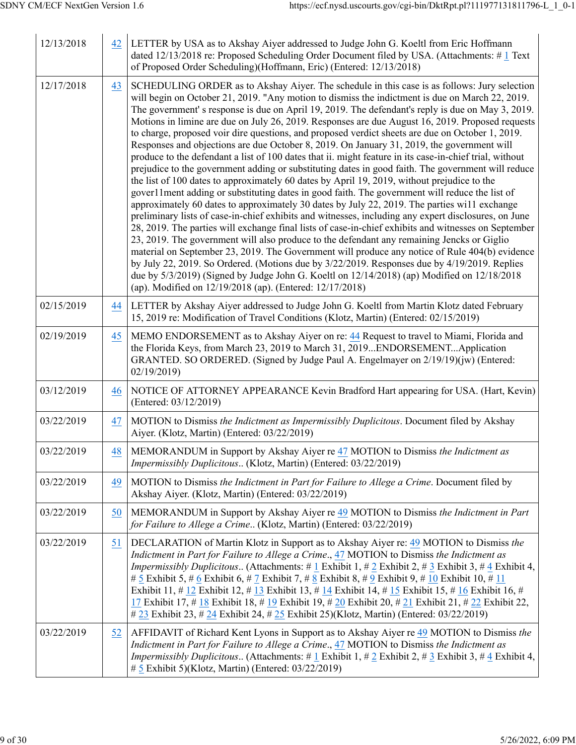| 12/13/2018 | 42 | LETTER by USA as to Akshay Aiyer addressed to Judge John G. Koeltl from Eric Hoffmann<br>dated 12/13/2018 re: Proposed Scheduling Order Document filed by USA. (Attachments: #1 Text<br>of Proposed Order Scheduling)(Hoffmann, Eric) (Entered: 12/13/2018)                                                                                                                                                                                                                                                                                                                                                                                                                                                                                                                                                                                                                                                                                                                                                                                                                                                                                                                                                                                                                                                                                                                                                                                                                                                                                                                                                                                                                                                                                                                                            |
|------------|----|--------------------------------------------------------------------------------------------------------------------------------------------------------------------------------------------------------------------------------------------------------------------------------------------------------------------------------------------------------------------------------------------------------------------------------------------------------------------------------------------------------------------------------------------------------------------------------------------------------------------------------------------------------------------------------------------------------------------------------------------------------------------------------------------------------------------------------------------------------------------------------------------------------------------------------------------------------------------------------------------------------------------------------------------------------------------------------------------------------------------------------------------------------------------------------------------------------------------------------------------------------------------------------------------------------------------------------------------------------------------------------------------------------------------------------------------------------------------------------------------------------------------------------------------------------------------------------------------------------------------------------------------------------------------------------------------------------------------------------------------------------------------------------------------------------|
| 12/17/2018 | 43 | SCHEDULING ORDER as to Akshay Aiyer. The schedule in this case is as follows: Jury selection<br>will begin on October 21, 2019. "Any motion to dismiss the indictment is due on March 22, 2019.<br>The government's response is due on April 19, 2019. The defendant's reply is due on May 3, 2019.<br>Motions in limine are due on July 26, 2019. Responses are due August 16, 2019. Proposed requests<br>to charge, proposed voir dire questions, and proposed verdict sheets are due on October 1, 2019.<br>Responses and objections are due October 8, 2019. On January 31, 2019, the government will<br>produce to the defendant a list of 100 dates that ii. might feature in its case-in-chief trial, without<br>prejudice to the government adding or substituting dates in good faith. The government will reduce<br>the list of 100 dates to approximately 60 dates by April 19, 2019, without prejudice to the<br>gover11ment adding or substituting dates in good faith. The government will reduce the list of<br>approximately 60 dates to approximately 30 dates by July 22, 2019. The parties will exchange<br>preliminary lists of case-in-chief exhibits and witnesses, including any expert disclosures, on June<br>28, 2019. The parties will exchange final lists of case-in-chief exhibits and witnesses on September<br>23, 2019. The government will also produce to the defendant any remaining Jencks or Giglio<br>material on September 23, 2019. The Government will produce any notice of Rule 404(b) evidence<br>by July 22, 2019. So Ordered. (Motions due by 3/22/2019. Responses due by 4/19/2019. Replies<br>due by 5/3/2019) (Signed by Judge John G. Koeltl on 12/14/2018) (ap) Modified on 12/18/2018<br>(ap). Modified on 12/19/2018 (ap). (Entered: 12/17/2018) |
| 02/15/2019 | 44 | LETTER by Akshay Aiyer addressed to Judge John G. Koeltl from Martin Klotz dated February<br>15, 2019 re: Modification of Travel Conditions (Klotz, Martin) (Entered: 02/15/2019)                                                                                                                                                                                                                                                                                                                                                                                                                                                                                                                                                                                                                                                                                                                                                                                                                                                                                                                                                                                                                                                                                                                                                                                                                                                                                                                                                                                                                                                                                                                                                                                                                      |
| 02/19/2019 | 45 | MEMO ENDORSEMENT as to Akshay Aiyer on re: 44 Request to travel to Miami, Florida and<br>the Florida Keys, from March 23, 2019 to March 31, 2019ENDORSEMENTApplication<br>GRANTED. SO ORDERED. (Signed by Judge Paul A. Engelmayer on 2/19/19)(jw) (Entered:<br>02/19/2019                                                                                                                                                                                                                                                                                                                                                                                                                                                                                                                                                                                                                                                                                                                                                                                                                                                                                                                                                                                                                                                                                                                                                                                                                                                                                                                                                                                                                                                                                                                             |
| 03/12/2019 | 46 | NOTICE OF ATTORNEY APPEARANCE Kevin Bradford Hart appearing for USA. (Hart, Kevin)<br>(Entered: 03/12/2019)                                                                                                                                                                                                                                                                                                                                                                                                                                                                                                                                                                                                                                                                                                                                                                                                                                                                                                                                                                                                                                                                                                                                                                                                                                                                                                                                                                                                                                                                                                                                                                                                                                                                                            |
| 03/22/2019 | 47 | MOTION to Dismiss the Indictment as Impermissibly Duplicitous. Document filed by Akshay<br>Aiyer. (Klotz, Martin) (Entered: 03/22/2019)                                                                                                                                                                                                                                                                                                                                                                                                                                                                                                                                                                                                                                                                                                                                                                                                                                                                                                                                                                                                                                                                                                                                                                                                                                                                                                                                                                                                                                                                                                                                                                                                                                                                |
| 03/22/2019 | 48 | MEMORANDUM in Support by Akshay Aiyer re 47 MOTION to Dismiss the Indictment as<br>Impermissibly Duplicitous (Klotz, Martin) (Entered: 03/22/2019)                                                                                                                                                                                                                                                                                                                                                                                                                                                                                                                                                                                                                                                                                                                                                                                                                                                                                                                                                                                                                                                                                                                                                                                                                                                                                                                                                                                                                                                                                                                                                                                                                                                     |
| 03/22/2019 | 49 | MOTION to Dismiss the Indictment in Part for Failure to Allege a Crime. Document filed by<br>Akshay Aiyer. (Klotz, Martin) (Entered: 03/22/2019)                                                                                                                                                                                                                                                                                                                                                                                                                                                                                                                                                                                                                                                                                                                                                                                                                                                                                                                                                                                                                                                                                                                                                                                                                                                                                                                                                                                                                                                                                                                                                                                                                                                       |
| 03/22/2019 | 50 | MEMORANDUM in Support by Akshay Aiyer re 49 MOTION to Dismiss the Indictment in Part<br>for Failure to Allege a Crime (Klotz, Martin) (Entered: 03/22/2019)                                                                                                                                                                                                                                                                                                                                                                                                                                                                                                                                                                                                                                                                                                                                                                                                                                                                                                                                                                                                                                                                                                                                                                                                                                                                                                                                                                                                                                                                                                                                                                                                                                            |
| 03/22/2019 | 51 | DECLARATION of Martin Klotz in Support as to Akshay Aiyer re: 49 MOTION to Dismiss the<br>Indictment in Part for Failure to Allege a Crime., 47 MOTION to Dismiss the Indictment as<br><i>Impermissibly Duplicitous</i> (Attachments: #1 Exhibit 1, #2 Exhibit 2, #3 Exhibit 3, #4 Exhibit 4,<br># 5 Exhibit 5, # 6 Exhibit 6, # 7 Exhibit 7, # 8 Exhibit 8, # 9 Exhibit 9, # 10 Exhibit 10, # 11<br>Exhibit 11, # 12 Exhibit 12, # 13 Exhibit 13, # 14 Exhibit 14, # 15 Exhibit 15, # 16 Exhibit 16, #<br>17 Exhibit 17, # 18 Exhibit 18, # 19 Exhibit 19, # 20 Exhibit 20, # 21 Exhibit 21, # 22 Exhibit 22,<br># 23 Exhibit 23, # 24 Exhibit 24, # 25 Exhibit 25)(Klotz, Martin) (Entered: 03/22/2019)                                                                                                                                                                                                                                                                                                                                                                                                                                                                                                                                                                                                                                                                                                                                                                                                                                                                                                                                                                                                                                                                                              |
| 03/22/2019 | 52 | AFFIDAVIT of Richard Kent Lyons in Support as to Akshay Aiyer re 49 MOTION to Dismiss the<br>Indictment in Part for Failure to Allege a Crime., 47 MOTION to Dismiss the Indictment as<br><i>Impermissibly Duplicitous</i> (Attachments: # $\frac{1}{4}$ Exhibit 1, # $\frac{2}{4}$ Exhibit 2, # $\frac{3}{4}$ Exhibit 3, # $\frac{4}{4}$ Exhibit 4,<br># 5 Exhibit 5)(Klotz, Martin) (Entered: 03/22/2019)                                                                                                                                                                                                                                                                                                                                                                                                                                                                                                                                                                                                                                                                                                                                                                                                                                                                                                                                                                                                                                                                                                                                                                                                                                                                                                                                                                                            |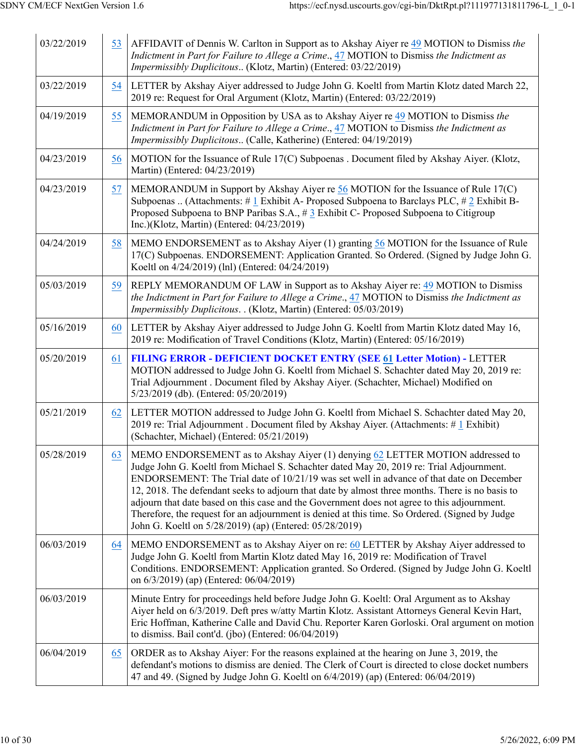| 03/22/2019 | 53 | AFFIDAVIT of Dennis W. Carlton in Support as to Akshay Aiyer re 49 MOTION to Dismiss the<br>Indictment in Part for Failure to Allege a Crime., 47 MOTION to Dismiss the Indictment as<br>Impermissibly Duplicitous (Klotz, Martin) (Entered: 03/22/2019)                                                                                                                                                                                                                                                                                                                                                                             |
|------------|----|--------------------------------------------------------------------------------------------------------------------------------------------------------------------------------------------------------------------------------------------------------------------------------------------------------------------------------------------------------------------------------------------------------------------------------------------------------------------------------------------------------------------------------------------------------------------------------------------------------------------------------------|
| 03/22/2019 | 54 | LETTER by Akshay Aiyer addressed to Judge John G. Koeltl from Martin Klotz dated March 22,<br>2019 re: Request for Oral Argument (Klotz, Martin) (Entered: 03/22/2019)                                                                                                                                                                                                                                                                                                                                                                                                                                                               |
| 04/19/2019 | 55 | MEMORANDUM in Opposition by USA as to Akshay Aiyer re 49 MOTION to Dismiss the<br>Indictment in Part for Failure to Allege a Crime., 47 MOTION to Dismiss the Indictment as<br>Impermissibly Duplicitous (Calle, Katherine) (Entered: 04/19/2019)                                                                                                                                                                                                                                                                                                                                                                                    |
| 04/23/2019 | 56 | MOTION for the Issuance of Rule 17(C) Subpoenas . Document filed by Akshay Aiyer. (Klotz,<br>Martin) (Entered: 04/23/2019)                                                                                                                                                                                                                                                                                                                                                                                                                                                                                                           |
| 04/23/2019 | 57 | MEMORANDUM in Support by Akshay Aiyer re 56 MOTION for the Issuance of Rule 17(C)<br>Subpoenas  (Attachments: # 1 Exhibit A- Proposed Subpoena to Barclays PLC, # 2 Exhibit B-<br>Proposed Subpoena to BNP Paribas S.A., # 3 Exhibit C- Proposed Subpoena to Citigroup<br>Inc.)(Klotz, Martin) (Entered: 04/23/2019)                                                                                                                                                                                                                                                                                                                 |
| 04/24/2019 | 58 | MEMO ENDORSEMENT as to Akshay Aiyer (1) granting 56 MOTION for the Issuance of Rule<br>17(C) Subpoenas. ENDORSEMENT: Application Granted. So Ordered. (Signed by Judge John G.<br>Koeltl on 4/24/2019) (lnl) (Entered: 04/24/2019)                                                                                                                                                                                                                                                                                                                                                                                                   |
| 05/03/2019 | 59 | REPLY MEMORANDUM OF LAW in Support as to Akshay Aiyer re: 49 MOTION to Dismiss<br>the Indictment in Part for Failure to Allege a Crime., 47 MOTION to Dismiss the Indictment as<br>Impermissibly Duplicitous. . (Klotz, Martin) (Entered: 05/03/2019)                                                                                                                                                                                                                                                                                                                                                                                |
| 05/16/2019 | 60 | LETTER by Akshay Aiyer addressed to Judge John G. Koeltl from Martin Klotz dated May 16,<br>2019 re: Modification of Travel Conditions (Klotz, Martin) (Entered: 05/16/2019)                                                                                                                                                                                                                                                                                                                                                                                                                                                         |
| 05/20/2019 | 61 | <b>FILING ERROR - DEFICIENT DOCKET ENTRY (SEE 61 Letter Motion) - LETTER</b><br>MOTION addressed to Judge John G. Koeltl from Michael S. Schachter dated May 20, 2019 re:<br>Trial Adjournment . Document filed by Akshay Aiyer. (Schachter, Michael) Modified on<br>5/23/2019 (db). (Entered: 05/20/2019)                                                                                                                                                                                                                                                                                                                           |
| 05/21/2019 | 62 | LETTER MOTION addressed to Judge John G. Koeltl from Michael S. Schachter dated May 20,<br>2019 re: Trial Adjournment . Document filed by Akshay Aiyer. (Attachments: #1 Exhibit)<br>(Schachter, Michael) (Entered: 05/21/2019)                                                                                                                                                                                                                                                                                                                                                                                                      |
| 05/28/2019 | 63 | MEMO ENDORSEMENT as to Akshay Aiyer (1) denying 62 LETTER MOTION addressed to<br>Judge John G. Koeltl from Michael S. Schachter dated May 20, 2019 re: Trial Adjournment.<br>ENDORSEMENT: The Trial date of 10/21/19 was set well in advance of that date on December<br>12, 2018. The defendant seeks to adjourn that date by almost three months. There is no basis to<br>adjourn that date based on this case and the Government does not agree to this adjournment.<br>Therefore, the request for an adjournment is denied at this time. So Ordered. (Signed by Judge<br>John G. Koeltl on 5/28/2019) (ap) (Entered: 05/28/2019) |
| 06/03/2019 | 64 | MEMO ENDORSEMENT as to Akshay Aiyer on re: 60 LETTER by Akshay Aiyer addressed to<br>Judge John G. Koeltl from Martin Klotz dated May 16, 2019 re: Modification of Travel<br>Conditions. ENDORSEMENT: Application granted. So Ordered. (Signed by Judge John G. Koeltl<br>on 6/3/2019) (ap) (Entered: 06/04/2019)                                                                                                                                                                                                                                                                                                                    |
| 06/03/2019 |    | Minute Entry for proceedings held before Judge John G. Koeltl: Oral Argument as to Akshay<br>Aiyer held on 6/3/2019. Deft pres w/atty Martin Klotz. Assistant Attorneys General Kevin Hart,<br>Eric Hoffman, Katherine Calle and David Chu. Reporter Karen Gorloski. Oral argument on motion<br>to dismiss. Bail cont'd. (jbo) (Entered: 06/04/2019)                                                                                                                                                                                                                                                                                 |
| 06/04/2019 | 65 | ORDER as to Akshay Aiyer: For the reasons explained at the hearing on June 3, 2019, the<br>defendant's motions to dismiss are denied. The Clerk of Court is directed to close docket numbers<br>47 and 49. (Signed by Judge John G. Koeltl on 6/4/2019) (ap) (Entered: 06/04/2019)                                                                                                                                                                                                                                                                                                                                                   |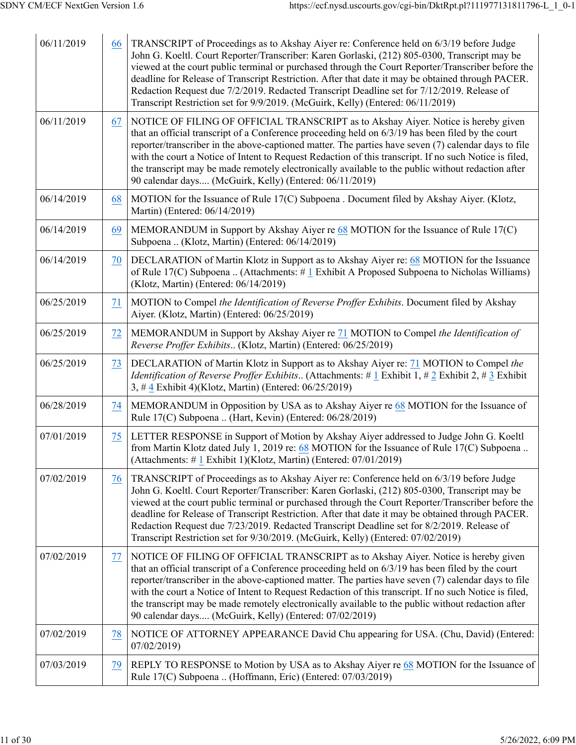| 06/11/2019 | 66 | TRANSCRIPT of Proceedings as to Akshay Aiyer re: Conference held on 6/3/19 before Judge<br>John G. Koeltl. Court Reporter/Transcriber: Karen Gorlaski, (212) 805-0300, Transcript may be<br>viewed at the court public terminal or purchased through the Court Reporter/Transcriber before the<br>deadline for Release of Transcript Restriction. After that date it may be obtained through PACER.<br>Redaction Request due 7/2/2019. Redacted Transcript Deadline set for 7/12/2019. Release of<br>Transcript Restriction set for 9/9/2019. (McGuirk, Kelly) (Entered: 06/11/2019)  |
|------------|----|---------------------------------------------------------------------------------------------------------------------------------------------------------------------------------------------------------------------------------------------------------------------------------------------------------------------------------------------------------------------------------------------------------------------------------------------------------------------------------------------------------------------------------------------------------------------------------------|
| 06/11/2019 | 67 | NOTICE OF FILING OF OFFICIAL TRANSCRIPT as to Akshay Aiyer. Notice is hereby given<br>that an official transcript of a Conference proceeding held on 6/3/19 has been filed by the court<br>reporter/transcriber in the above-captioned matter. The parties have seven (7) calendar days to file<br>with the court a Notice of Intent to Request Redaction of this transcript. If no such Notice is filed,<br>the transcript may be made remotely electronically available to the public without redaction after<br>90 calendar days (McGuirk, Kelly) (Entered: 06/11/2019)            |
| 06/14/2019 | 68 | MOTION for the Issuance of Rule 17(C) Subpoena . Document filed by Akshay Aiyer. (Klotz,<br>Martin) (Entered: 06/14/2019)                                                                                                                                                                                                                                                                                                                                                                                                                                                             |
| 06/14/2019 | 69 | MEMORANDUM in Support by Akshay Aiyer re 68 MOTION for the Issuance of Rule 17(C)<br>Subpoena  (Klotz, Martin) (Entered: 06/14/2019)                                                                                                                                                                                                                                                                                                                                                                                                                                                  |
| 06/14/2019 | 70 | DECLARATION of Martin Klotz in Support as to Akshay Aiyer re: 68 MOTION for the Issuance<br>of Rule 17(C) Subpoena  (Attachments: $\#$ 1 Exhibit A Proposed Subpoena to Nicholas Williams)<br>(Klotz, Martin) (Entered: 06/14/2019)                                                                                                                                                                                                                                                                                                                                                   |
| 06/25/2019 | 71 | MOTION to Compel the Identification of Reverse Proffer Exhibits. Document filed by Akshay<br>Aiyer. (Klotz, Martin) (Entered: 06/25/2019)                                                                                                                                                                                                                                                                                                                                                                                                                                             |
| 06/25/2019 | 72 | MEMORANDUM in Support by Akshay Aiyer re 71 MOTION to Compel the Identification of<br>Reverse Proffer Exhibits (Klotz, Martin) (Entered: 06/25/2019)                                                                                                                                                                                                                                                                                                                                                                                                                                  |
| 06/25/2019 | 73 | DECLARATION of Martin Klotz in Support as to Akshay Aiyer re: 71 MOTION to Compel the<br><i>Identification of Reverse Proffer Exhibits</i> (Attachments: # $1$ Exhibit 1, # 2 Exhibit 2, # 3 Exhibit<br>3, #4 Exhibit 4)(Klotz, Martin) (Entered: 06/25/2019)                                                                                                                                                                                                                                                                                                                         |
| 06/28/2019 | 74 | MEMORANDUM in Opposition by USA as to Akshay Aiyer re 68 MOTION for the Issuance of<br>Rule 17(C) Subpoena  (Hart, Kevin) (Entered: 06/28/2019)                                                                                                                                                                                                                                                                                                                                                                                                                                       |
| 07/01/2019 | 75 | LETTER RESPONSE in Support of Motion by Akshay Aiyer addressed to Judge John G. Koeltl<br>from Martin Klotz dated July 1, 2019 re: 68 MOTION for the Issuance of Rule 17(C) Subpoena.<br>(Attachments: #1 Exhibit 1)(Klotz, Martin) (Entered: 07/01/2019)                                                                                                                                                                                                                                                                                                                             |
| 07/02/2019 | 76 | TRANSCRIPT of Proceedings as to Akshay Aiyer re: Conference held on 6/3/19 before Judge<br>John G. Koeltl. Court Reporter/Transcriber: Karen Gorlaski, (212) 805-0300, Transcript may be<br>viewed at the court public terminal or purchased through the Court Reporter/Transcriber before the<br>deadline for Release of Transcript Restriction. After that date it may be obtained through PACER.<br>Redaction Request due 7/23/2019. Redacted Transcript Deadline set for 8/2/2019. Release of<br>Transcript Restriction set for 9/30/2019. (McGuirk, Kelly) (Entered: 07/02/2019) |
| 07/02/2019 | 77 | NOTICE OF FILING OF OFFICIAL TRANSCRIPT as to Akshay Aiyer. Notice is hereby given<br>that an official transcript of a Conference proceeding held on 6/3/19 has been filed by the court<br>reporter/transcriber in the above-captioned matter. The parties have seven (7) calendar days to file<br>with the court a Notice of Intent to Request Redaction of this transcript. If no such Notice is filed,<br>the transcript may be made remotely electronically available to the public without redaction after<br>90 calendar days (McGuirk, Kelly) (Entered: 07/02/2019)            |
| 07/02/2019 | 78 | NOTICE OF ATTORNEY APPEARANCE David Chu appearing for USA. (Chu, David) (Entered:<br>07/02/2019                                                                                                                                                                                                                                                                                                                                                                                                                                                                                       |
| 07/03/2019 | 79 | REPLY TO RESPONSE to Motion by USA as to Akshay Aiyer re 68 MOTION for the Issuance of<br>Rule 17(C) Subpoena  (Hoffmann, Eric) (Entered: 07/03/2019)                                                                                                                                                                                                                                                                                                                                                                                                                                 |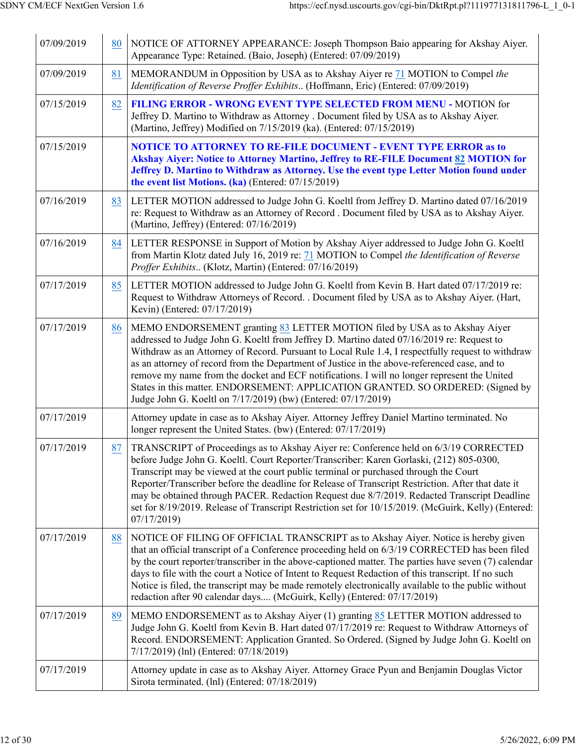| 07/09/2019 | 80 | NOTICE OF ATTORNEY APPEARANCE: Joseph Thompson Baio appearing for Akshay Aiyer.<br>Appearance Type: Retained. (Baio, Joseph) (Entered: 07/09/2019)                                                                                                                                                                                                                                                                                                                                                                                                                                                                              |
|------------|----|---------------------------------------------------------------------------------------------------------------------------------------------------------------------------------------------------------------------------------------------------------------------------------------------------------------------------------------------------------------------------------------------------------------------------------------------------------------------------------------------------------------------------------------------------------------------------------------------------------------------------------|
| 07/09/2019 | 81 | MEMORANDUM in Opposition by USA as to Akshay Aiyer re 71 MOTION to Compel the<br>Identification of Reverse Proffer Exhibits (Hoffmann, Eric) (Entered: 07/09/2019)                                                                                                                                                                                                                                                                                                                                                                                                                                                              |
| 07/15/2019 | 82 | <b>FILING ERROR - WRONG EVENT TYPE SELECTED FROM MENU - MOTION for</b><br>Jeffrey D. Martino to Withdraw as Attorney . Document filed by USA as to Akshay Aiyer.<br>(Martino, Jeffrey) Modified on 7/15/2019 (ka). (Entered: 07/15/2019)                                                                                                                                                                                                                                                                                                                                                                                        |
| 07/15/2019 |    | <b>NOTICE TO ATTORNEY TO RE-FILE DOCUMENT - EVENT TYPE ERROR as to</b><br>Akshay Aiyer: Notice to Attorney Martino, Jeffrey to RE-FILE Document 82 MOTION for<br>Jeffrey D. Martino to Withdraw as Attorney. Use the event type Letter Motion found under<br>the event list Motions. (ka) (Entered: 07/15/2019)                                                                                                                                                                                                                                                                                                                 |
| 07/16/2019 | 83 | LETTER MOTION addressed to Judge John G. Koeltl from Jeffrey D. Martino dated 07/16/2019<br>re: Request to Withdraw as an Attorney of Record . Document filed by USA as to Akshay Aiyer.<br>(Martino, Jeffrey) (Entered: 07/16/2019)                                                                                                                                                                                                                                                                                                                                                                                            |
| 07/16/2019 | 84 | LETTER RESPONSE in Support of Motion by Akshay Aiyer addressed to Judge John G. Koeltl<br>from Martin Klotz dated July 16, 2019 re: 71 MOTION to Compel the Identification of Reverse<br>Proffer Exhibits (Klotz, Martin) (Entered: 07/16/2019)                                                                                                                                                                                                                                                                                                                                                                                 |
| 07/17/2019 | 85 | LETTER MOTION addressed to Judge John G. Koeltl from Kevin B. Hart dated 07/17/2019 re:<br>Request to Withdraw Attorneys of Record. . Document filed by USA as to Akshay Aiyer. (Hart,<br>Kevin) (Entered: 07/17/2019)                                                                                                                                                                                                                                                                                                                                                                                                          |
| 07/17/2019 | 86 | MEMO ENDORSEMENT granting 83 LETTER MOTION filed by USA as to Akshay Aiyer<br>addressed to Judge John G. Koeltl from Jeffrey D. Martino dated 07/16/2019 re: Request to<br>Withdraw as an Attorney of Record. Pursuant to Local Rule 1.4, I respectfully request to withdraw<br>as an attorney of record from the Department of Justice in the above-referenced case, and to<br>remove my name from the docket and ECF notifications. I will no longer represent the United<br>States in this matter. ENDORSEMENT: APPLICATION GRANTED. SO ORDERED: (Signed by<br>Judge John G. Koeltl on 7/17/2019) (bw) (Entered: 07/17/2019) |
| 07/17/2019 |    | Attorney update in case as to Akshay Aiyer. Attorney Jeffrey Daniel Martino terminated. No<br>longer represent the United States. (bw) (Entered: 07/17/2019)                                                                                                                                                                                                                                                                                                                                                                                                                                                                    |
| 07/17/2019 | 87 | TRANSCRIPT of Proceedings as to Akshay Aiyer re: Conference held on 6/3/19 CORRECTED<br>before Judge John G. Koeltl. Court Reporter/Transcriber: Karen Gorlaski, (212) 805-0300,<br>Transcript may be viewed at the court public terminal or purchased through the Court<br>Reporter/Transcriber before the deadline for Release of Transcript Restriction. After that date it<br>may be obtained through PACER. Redaction Request due 8/7/2019. Redacted Transcript Deadline<br>set for 8/19/2019. Release of Transcript Restriction set for 10/15/2019. (McGuirk, Kelly) (Entered:<br>07/17/2019)                             |
| 07/17/2019 | 88 | NOTICE OF FILING OF OFFICIAL TRANSCRIPT as to Akshay Aiyer. Notice is hereby given<br>that an official transcript of a Conference proceeding held on 6/3/19 CORRECTED has been filed<br>by the court reporter/transcriber in the above-captioned matter. The parties have seven (7) calendar<br>days to file with the court a Notice of Intent to Request Redaction of this transcript. If no such<br>Notice is filed, the transcript may be made remotely electronically available to the public without<br>redaction after 90 calendar days (McGuirk, Kelly) (Entered: 07/17/2019)                                            |
| 07/17/2019 | 89 | MEMO ENDORSEMENT as to Akshay Aiyer (1) granting 85 LETTER MOTION addressed to<br>Judge John G. Koeltl from Kevin B. Hart dated 07/17/2019 re: Request to Withdraw Attorneys of<br>Record. ENDORSEMENT: Application Granted. So Ordered. (Signed by Judge John G. Koeltl on<br>7/17/2019) (lnl) (Entered: 07/18/2019)                                                                                                                                                                                                                                                                                                           |
| 07/17/2019 |    | Attorney update in case as to Akshay Aiyer. Attorney Grace Pyun and Benjamin Douglas Victor<br>Sirota terminated. (lnl) (Entered: 07/18/2019)                                                                                                                                                                                                                                                                                                                                                                                                                                                                                   |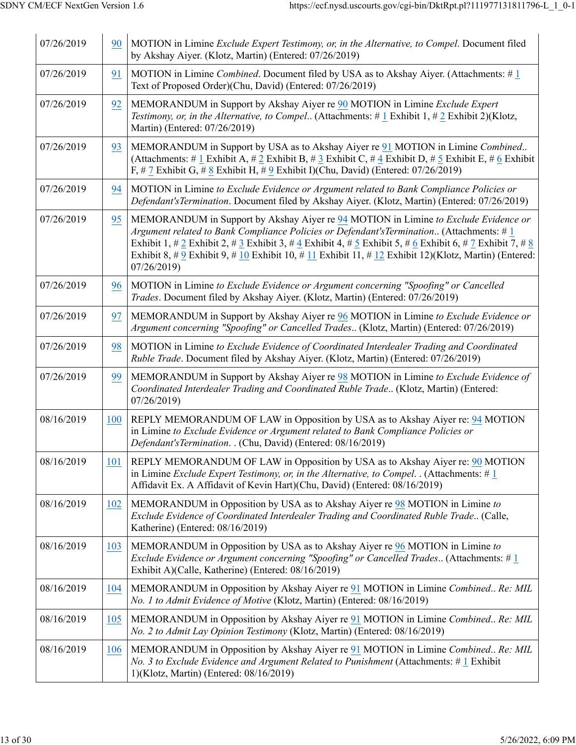| 07/26/2019 | 90  | MOTION in Limine Exclude Expert Testimony, or, in the Alternative, to Compel. Document filed<br>by Akshay Aiyer. (Klotz, Martin) (Entered: 07/26/2019)                                                                                                                                                                                                                                                                |
|------------|-----|-----------------------------------------------------------------------------------------------------------------------------------------------------------------------------------------------------------------------------------------------------------------------------------------------------------------------------------------------------------------------------------------------------------------------|
| 07/26/2019 | 91  | MOTION in Limine <i>Combined</i> . Document filed by USA as to Akshay Aiyer. (Attachments: $\# 1$<br>Text of Proposed Order)(Chu, David) (Entered: 07/26/2019)                                                                                                                                                                                                                                                        |
| 07/26/2019 | 92  | MEMORANDUM in Support by Akshay Aiyer re 90 MOTION in Limine Exclude Expert<br>Testimony, or, in the Alternative, to Compel (Attachments: $\# 1$ Exhibit 1, $\# 2$ Exhibit 2)(Klotz,<br>Martin) (Entered: 07/26/2019)                                                                                                                                                                                                 |
| 07/26/2019 | 93  | MEMORANDUM in Support by USA as to Akshay Aiyer re 91 MOTION in Limine Combined<br>(Attachments: # 1 Exhibit A, # 2 Exhibit B, # 3 Exhibit C, # 4 Exhibit D, # 5 Exhibit E, # 6 Exhibit<br>F, # 7 Exhibit G, # 8 Exhibit H, # 9 Exhibit I)(Chu, David) (Entered: $07/26/2019$ )                                                                                                                                       |
| 07/26/2019 | 94  | MOTION in Limine to Exclude Evidence or Argument related to Bank Compliance Policies or<br>Defendant's Termination. Document filed by Akshay Aiyer. (Klotz, Martin) (Entered: 07/26/2019)                                                                                                                                                                                                                             |
| 07/26/2019 | 95  | MEMORANDUM in Support by Akshay Aiyer re 94 MOTION in Limine to Exclude Evidence or<br>Argument related to Bank Compliance Policies or Defendant's Termination (Attachments: $#1$<br>Exhibit 1, # 2 Exhibit 2, # 3 Exhibit 3, # 4 Exhibit 4, # 5 Exhibit 5, # 6 Exhibit 6, # 7 Exhibit 7, # 8<br>Exhibit 8, # 9 Exhibit 9, # 10 Exhibit 10, # 11 Exhibit 11, # 12 Exhibit 12)(Klotz, Martin) (Entered:<br>07/26/2019) |
| 07/26/2019 | 96  | MOTION in Limine to Exclude Evidence or Argument concerning "Spoofing" or Cancelled<br>Trades. Document filed by Akshay Aiyer. (Klotz, Martin) (Entered: 07/26/2019)                                                                                                                                                                                                                                                  |
| 07/26/2019 | 97  | MEMORANDUM in Support by Akshay Aiyer re 96 MOTION in Limine to Exclude Evidence or<br>Argument concerning "Spoofing" or Cancelled Trades (Klotz, Martin) (Entered: 07/26/2019)                                                                                                                                                                                                                                       |
| 07/26/2019 | 98  | MOTION in Limine to Exclude Evidence of Coordinated Interdealer Trading and Coordinated<br>Ruble Trade. Document filed by Akshay Aiyer. (Klotz, Martin) (Entered: 07/26/2019)                                                                                                                                                                                                                                         |
| 07/26/2019 | 99  | MEMORANDUM in Support by Akshay Aiyer re 98 MOTION in Limine to Exclude Evidence of<br>Coordinated Interdealer Trading and Coordinated Ruble Trade (Klotz, Martin) (Entered:<br>07/26/2019)                                                                                                                                                                                                                           |
| 08/16/2019 | 100 | REPLY MEMORANDUM OF LAW in Opposition by USA as to Akshay Aiyer re: 94 MOTION<br>in Limine to Exclude Evidence or Argument related to Bank Compliance Policies or<br>Defendant's Termination. . (Chu, David) (Entered: 08/16/2019)                                                                                                                                                                                    |
| 08/16/2019 | 101 | REPLY MEMORANDUM OF LAW in Opposition by USA as to Akshay Aiyer re: 90 MOTION<br>in Limine Exclude Expert Testimony, or, in the Alternative, to Compel. . (Attachments: $\# 1$<br>Affidavit Ex. A Affidavit of Kevin Hart)(Chu, David) (Entered: 08/16/2019)                                                                                                                                                          |
| 08/16/2019 | 102 | MEMORANDUM in Opposition by USA as to Akshay Aiyer re 98 MOTION in Limine to<br>Exclude Evidence of Coordinated Interdealer Trading and Coordinated Ruble Trade (Calle,<br>Katherine) (Entered: 08/16/2019)                                                                                                                                                                                                           |
| 08/16/2019 | 103 | MEMORANDUM in Opposition by USA as to Akshay Aiyer re 96 MOTION in Limine to<br>Exclude Evidence or Argument concerning "Spoofing" or Cancelled Trades (Attachments: # 1<br>Exhibit A)(Calle, Katherine) (Entered: 08/16/2019)                                                                                                                                                                                        |
| 08/16/2019 | 104 | MEMORANDUM in Opposition by Akshay Aiyer re 91 MOTION in Limine Combined Re: MIL<br>No. 1 to Admit Evidence of Motive (Klotz, Martin) (Entered: 08/16/2019)                                                                                                                                                                                                                                                           |
| 08/16/2019 | 105 | MEMORANDUM in Opposition by Akshay Aiyer re 91 MOTION in Limine Combined Re: MIL<br>No. 2 to Admit Lay Opinion Testimony (Klotz, Martin) (Entered: 08/16/2019)                                                                                                                                                                                                                                                        |
| 08/16/2019 | 106 | MEMORANDUM in Opposition by Akshay Aiyer re 91 MOTION in Limine Combined Re: MIL<br>No. 3 to Exclude Evidence and Argument Related to Punishment (Attachments: $\#$ 1 Exhibit<br>1)(Klotz, Martin) (Entered: 08/16/2019)                                                                                                                                                                                              |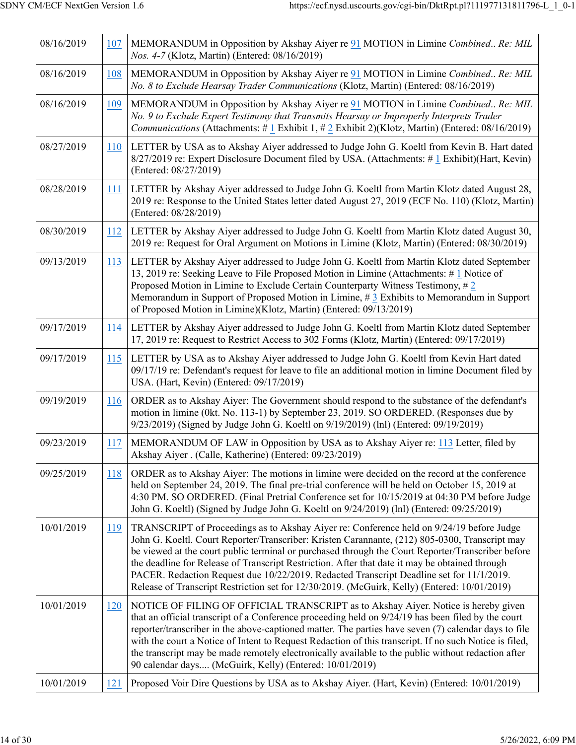| 08/16/2019 | 107        | MEMORANDUM in Opposition by Akshay Aiyer re 91 MOTION in Limine Combined Re: MIL<br>Nos. 4-7 (Klotz, Martin) (Entered: 08/16/2019)                                                                                                                                                                                                                                                                                                                                                                                                                                                            |
|------------|------------|-----------------------------------------------------------------------------------------------------------------------------------------------------------------------------------------------------------------------------------------------------------------------------------------------------------------------------------------------------------------------------------------------------------------------------------------------------------------------------------------------------------------------------------------------------------------------------------------------|
| 08/16/2019 | 108        | MEMORANDUM in Opposition by Akshay Aiyer re 91 MOTION in Limine Combined Re: MIL<br>No. 8 to Exclude Hearsay Trader Communications (Klotz, Martin) (Entered: 08/16/2019)                                                                                                                                                                                                                                                                                                                                                                                                                      |
| 08/16/2019 | 109        | MEMORANDUM in Opposition by Akshay Aiyer re 91 MOTION in Limine Combined Re: MIL<br>No. 9 to Exclude Expert Testimony that Transmits Hearsay or Improperly Interprets Trader<br><i>Communications</i> (Attachments: # 1 Exhibit 1, # 2 Exhibit 2)(Klotz, Martin) (Entered: $08/16/2019$ )                                                                                                                                                                                                                                                                                                     |
| 08/27/2019 | 110        | LETTER by USA as to Akshay Aiyer addressed to Judge John G. Koeltl from Kevin B. Hart dated<br>8/27/2019 re: Expert Disclosure Document filed by USA. (Attachments: #1 Exhibit)(Hart, Kevin)<br>(Entered: 08/27/2019)                                                                                                                                                                                                                                                                                                                                                                         |
| 08/28/2019 | 111        | LETTER by Akshay Aiyer addressed to Judge John G. Koeltl from Martin Klotz dated August 28,<br>2019 re: Response to the United States letter dated August 27, 2019 (ECF No. 110) (Klotz, Martin)<br>(Entered: 08/28/2019)                                                                                                                                                                                                                                                                                                                                                                     |
| 08/30/2019 | 112        | LETTER by Akshay Aiyer addressed to Judge John G. Koeltl from Martin Klotz dated August 30,<br>2019 re: Request for Oral Argument on Motions in Limine (Klotz, Martin) (Entered: 08/30/2019)                                                                                                                                                                                                                                                                                                                                                                                                  |
| 09/13/2019 | 113        | LETTER by Akshay Aiyer addressed to Judge John G. Koeltl from Martin Klotz dated September<br>13, 2019 re: Seeking Leave to File Proposed Motion in Limine (Attachments: #1 Notice of<br>Proposed Motion in Limine to Exclude Certain Counterparty Witness Testimony, $#2$<br>Memorandum in Support of Proposed Motion in Limine, $\# 3$ Exhibits to Memorandum in Support<br>of Proposed Motion in Limine)(Klotz, Martin) (Entered: 09/13/2019)                                                                                                                                              |
| 09/17/2019 | 114        | LETTER by Akshay Aiyer addressed to Judge John G. Koeltl from Martin Klotz dated September<br>17, 2019 re: Request to Restrict Access to 302 Forms (Klotz, Martin) (Entered: 09/17/2019)                                                                                                                                                                                                                                                                                                                                                                                                      |
| 09/17/2019 | 115        | LETTER by USA as to Akshay Aiyer addressed to Judge John G. Koeltl from Kevin Hart dated<br>09/17/19 re: Defendant's request for leave to file an additional motion in limine Document filed by<br>USA. (Hart, Kevin) (Entered: 09/17/2019)                                                                                                                                                                                                                                                                                                                                                   |
| 09/19/2019 | <b>116</b> | ORDER as to Akshay Aiyer: The Government should respond to the substance of the defendant's<br>motion in limine (0kt. No. 113-1) by September 23, 2019. SO ORDERED. (Responses due by<br>9/23/2019) (Signed by Judge John G. Koeltl on 9/19/2019) (lnl) (Entered: 09/19/2019)                                                                                                                                                                                                                                                                                                                 |
| 09/23/2019 | 117        | MEMORANDUM OF LAW in Opposition by USA as to Akshay Aiyer re: 113 Letter, filed by<br>Akshay Aiyer . (Calle, Katherine) (Entered: 09/23/2019)                                                                                                                                                                                                                                                                                                                                                                                                                                                 |
| 09/25/2019 | 118        | ORDER as to Akshay Aiyer: The motions in limine were decided on the record at the conference<br>held on September 24, 2019. The final pre-trial conference will be held on October 15, 2019 at<br>4:30 PM. SO ORDERED. (Final Pretrial Conference set for 10/15/2019 at 04:30 PM before Judge<br>John G. Koeltl) (Signed by Judge John G. Koeltl on 9/24/2019) (lnl) (Entered: 09/25/2019)                                                                                                                                                                                                    |
| 10/01/2019 | 119        | TRANSCRIPT of Proceedings as to Akshay Aiyer re: Conference held on 9/24/19 before Judge<br>John G. Koeltl. Court Reporter/Transcriber: Kristen Carannante, (212) 805-0300, Transcript may<br>be viewed at the court public terminal or purchased through the Court Reporter/Transcriber before<br>the deadline for Release of Transcript Restriction. After that date it may be obtained through<br>PACER. Redaction Request due 10/22/2019. Redacted Transcript Deadline set for 11/1/2019.<br>Release of Transcript Restriction set for 12/30/2019. (McGuirk, Kelly) (Entered: 10/01/2019) |
| 10/01/2019 | 120        | NOTICE OF FILING OF OFFICIAL TRANSCRIPT as to Akshay Aiyer. Notice is hereby given<br>that an official transcript of a Conference proceeding held on 9/24/19 has been filed by the court<br>reporter/transcriber in the above-captioned matter. The parties have seven (7) calendar days to file<br>with the court a Notice of Intent to Request Redaction of this transcript. If no such Notice is filed,<br>the transcript may be made remotely electronically available to the public without redaction after<br>90 calendar days (McGuirk, Kelly) (Entered: 10/01/2019)                   |
| 10/01/2019 | 121        | Proposed Voir Dire Questions by USA as to Akshay Aiyer. (Hart, Kevin) (Entered: 10/01/2019)                                                                                                                                                                                                                                                                                                                                                                                                                                                                                                   |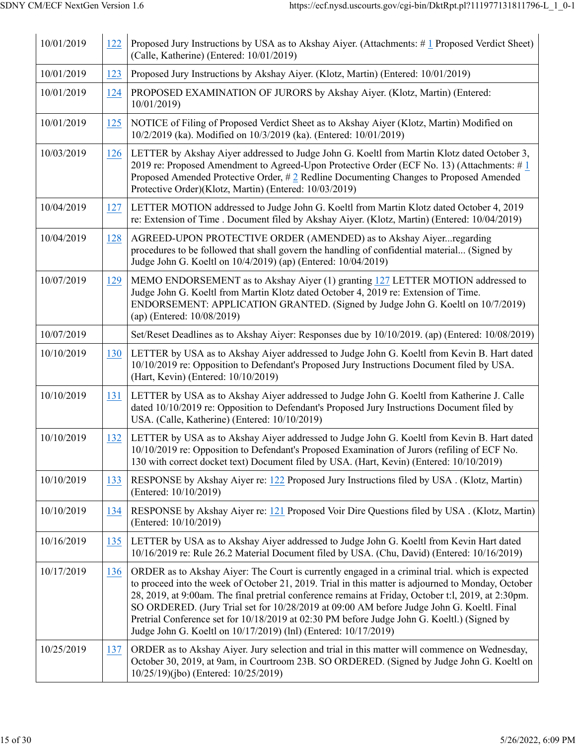| 10/01/2019 | 122 | Proposed Jury Instructions by USA as to Akshay Aiyer. (Attachments: #1 Proposed Verdict Sheet)<br>(Calle, Katherine) (Entered: 10/01/2019)                                                                                                                                                                                                                                                                                                                                                                                                                                  |
|------------|-----|-----------------------------------------------------------------------------------------------------------------------------------------------------------------------------------------------------------------------------------------------------------------------------------------------------------------------------------------------------------------------------------------------------------------------------------------------------------------------------------------------------------------------------------------------------------------------------|
| 10/01/2019 | 123 | Proposed Jury Instructions by Akshay Aiyer. (Klotz, Martin) (Entered: 10/01/2019)                                                                                                                                                                                                                                                                                                                                                                                                                                                                                           |
| 10/01/2019 | 124 | PROPOSED EXAMINATION OF JURORS by Akshay Aiyer. (Klotz, Martin) (Entered:<br>10/01/2019)                                                                                                                                                                                                                                                                                                                                                                                                                                                                                    |
| 10/01/2019 | 125 | NOTICE of Filing of Proposed Verdict Sheet as to Akshay Aiyer (Klotz, Martin) Modified on<br>10/2/2019 (ka). Modified on 10/3/2019 (ka). (Entered: 10/01/2019)                                                                                                                                                                                                                                                                                                                                                                                                              |
| 10/03/2019 | 126 | LETTER by Akshay Aiyer addressed to Judge John G. Koeltl from Martin Klotz dated October 3,<br>2019 re: Proposed Amendment to Agreed-Upon Protective Order (ECF No. 13) (Attachments: #1<br>Proposed Amended Protective Order, #2 Redline Documenting Changes to Proposed Amended<br>Protective Order)(Klotz, Martin) (Entered: 10/03/2019)                                                                                                                                                                                                                                 |
| 10/04/2019 | 127 | LETTER MOTION addressed to Judge John G. Koeltl from Martin Klotz dated October 4, 2019<br>re: Extension of Time . Document filed by Akshay Aiyer. (Klotz, Martin) (Entered: 10/04/2019)                                                                                                                                                                                                                                                                                                                                                                                    |
| 10/04/2019 | 128 | AGREED-UPON PROTECTIVE ORDER (AMENDED) as to Akshay Aiyerregarding<br>procedures to be followed that shall govern the handling of confidential material (Signed by<br>Judge John G. Koeltl on 10/4/2019) (ap) (Entered: 10/04/2019)                                                                                                                                                                                                                                                                                                                                         |
| 10/07/2019 | 129 | MEMO ENDORSEMENT as to Akshay Aiyer (1) granting 127 LETTER MOTION addressed to<br>Judge John G. Koeltl from Martin Klotz dated October 4, 2019 re: Extension of Time.<br>ENDORSEMENT: APPLICATION GRANTED. (Signed by Judge John G. Koeltl on 10/7/2019)<br>(ap) (Entered: 10/08/2019)                                                                                                                                                                                                                                                                                     |
| 10/07/2019 |     | Set/Reset Deadlines as to Akshay Aiyer: Responses due by 10/10/2019. (ap) (Entered: 10/08/2019)                                                                                                                                                                                                                                                                                                                                                                                                                                                                             |
| 10/10/2019 | 130 | LETTER by USA as to Akshay Aiyer addressed to Judge John G. Koeltl from Kevin B. Hart dated<br>10/10/2019 re: Opposition to Defendant's Proposed Jury Instructions Document filed by USA.<br>(Hart, Kevin) (Entered: 10/10/2019)                                                                                                                                                                                                                                                                                                                                            |
| 10/10/2019 | 131 | LETTER by USA as to Akshay Aiyer addressed to Judge John G. Koeltl from Katherine J. Calle<br>dated 10/10/2019 re: Opposition to Defendant's Proposed Jury Instructions Document filed by<br>USA. (Calle, Katherine) (Entered: 10/10/2019)                                                                                                                                                                                                                                                                                                                                  |
| 10/10/2019 | 132 | LETTER by USA as to Akshay Aiyer addressed to Judge John G. Koeltl from Kevin B. Hart dated<br>10/10/2019 re: Opposition to Defendant's Proposed Examination of Jurors (refiling of ECF No.<br>130 with correct docket text) Document filed by USA. (Hart, Kevin) (Entered: 10/10/2019)                                                                                                                                                                                                                                                                                     |
| 10/10/2019 | 133 | RESPONSE by Akshay Aiyer re: 122 Proposed Jury Instructions filed by USA . (Klotz, Martin)<br>(Entered: 10/10/2019)                                                                                                                                                                                                                                                                                                                                                                                                                                                         |
| 10/10/2019 | 134 | RESPONSE by Akshay Aiyer re: 121 Proposed Voir Dire Questions filed by USA. (Klotz, Martin)<br>(Entered: 10/10/2019)                                                                                                                                                                                                                                                                                                                                                                                                                                                        |
| 10/16/2019 | 135 | LETTER by USA as to Akshay Aiyer addressed to Judge John G. Koeltl from Kevin Hart dated<br>10/16/2019 re: Rule 26.2 Material Document filed by USA. (Chu, David) (Entered: 10/16/2019)                                                                                                                                                                                                                                                                                                                                                                                     |
| 10/17/2019 | 136 | ORDER as to Akshay Aiyer: The Court is currently engaged in a criminal trial. which is expected<br>to proceed into the week of October 21, 2019. Trial in this matter is adjourned to Monday, October<br>28, 2019, at 9:00am. The final pretrial conference remains at Friday, October t:l, 2019, at 2:30pm.<br>SO ORDERED. (Jury Trial set for 10/28/2019 at 09:00 AM before Judge John G. Koeltl. Final<br>Pretrial Conference set for 10/18/2019 at 02:30 PM before Judge John G. Koeltl.) (Signed by<br>Judge John G. Koeltl on 10/17/2019) (lnl) (Entered: 10/17/2019) |
| 10/25/2019 | 137 | ORDER as to Akshay Aiyer. Jury selection and trial in this matter will commence on Wednesday,<br>October 30, 2019, at 9am, in Courtroom 23B. SO ORDERED. (Signed by Judge John G. Koeltl on<br>10/25/19)(jbo) (Entered: 10/25/2019)                                                                                                                                                                                                                                                                                                                                         |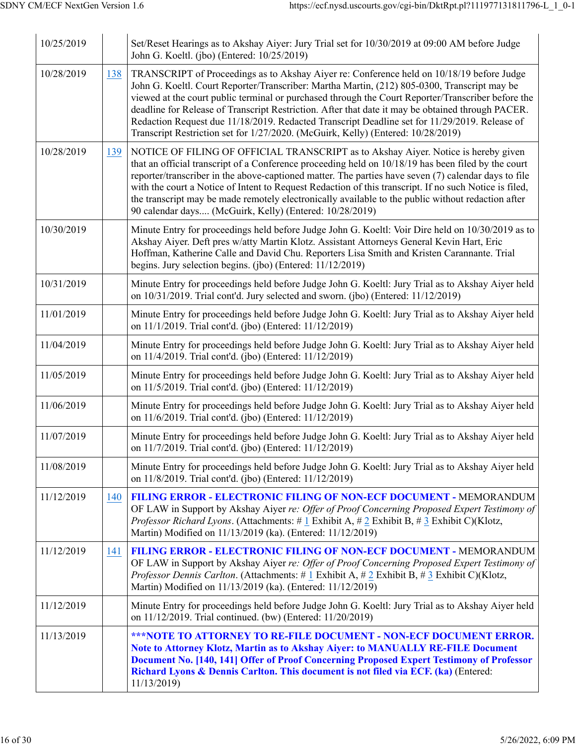| 10/25/2019 |     | Set/Reset Hearings as to Akshay Aiyer: Jury Trial set for 10/30/2019 at 09:00 AM before Judge<br>John G. Koeltl. (jbo) (Entered: 10/25/2019)                                                                                                                                                                                                                                                                                                                                                                                                                                              |
|------------|-----|-------------------------------------------------------------------------------------------------------------------------------------------------------------------------------------------------------------------------------------------------------------------------------------------------------------------------------------------------------------------------------------------------------------------------------------------------------------------------------------------------------------------------------------------------------------------------------------------|
| 10/28/2019 | 138 | TRANSCRIPT of Proceedings as to Akshay Aiyer re: Conference held on 10/18/19 before Judge<br>John G. Koeltl. Court Reporter/Transcriber: Martha Martin, (212) 805-0300, Transcript may be<br>viewed at the court public terminal or purchased through the Court Reporter/Transcriber before the<br>deadline for Release of Transcript Restriction. After that date it may be obtained through PACER.<br>Redaction Request due 11/18/2019. Redacted Transcript Deadline set for 11/29/2019. Release of<br>Transcript Restriction set for 1/27/2020. (McGuirk, Kelly) (Entered: 10/28/2019) |
| 10/28/2019 | 139 | NOTICE OF FILING OF OFFICIAL TRANSCRIPT as to Akshay Aiyer. Notice is hereby given<br>that an official transcript of a Conference proceeding held on $10/18/19$ has been filed by the court<br>reporter/transcriber in the above-captioned matter. The parties have seven (7) calendar days to file<br>with the court a Notice of Intent to Request Redaction of this transcript. If no such Notice is filed,<br>the transcript may be made remotely electronically available to the public without redaction after<br>90 calendar days (McGuirk, Kelly) (Entered: 10/28/2019)            |
| 10/30/2019 |     | Minute Entry for proceedings held before Judge John G. Koeltl: Voir Dire held on 10/30/2019 as to<br>Akshay Aiyer. Deft pres w/atty Martin Klotz. Assistant Attorneys General Kevin Hart, Eric<br>Hoffman, Katherine Calle and David Chu. Reporters Lisa Smith and Kristen Carannante. Trial<br>begins. Jury selection begins. (jbo) (Entered: 11/12/2019)                                                                                                                                                                                                                                |
| 10/31/2019 |     | Minute Entry for proceedings held before Judge John G. Koeltl: Jury Trial as to Akshay Aiyer held<br>on 10/31/2019. Trial cont'd. Jury selected and sworn. (jbo) (Entered: 11/12/2019)                                                                                                                                                                                                                                                                                                                                                                                                    |
| 11/01/2019 |     | Minute Entry for proceedings held before Judge John G. Koeltl: Jury Trial as to Akshay Aiyer held<br>on 11/1/2019. Trial cont'd. (jbo) (Entered: 11/12/2019)                                                                                                                                                                                                                                                                                                                                                                                                                              |
| 11/04/2019 |     | Minute Entry for proceedings held before Judge John G. Koeltl: Jury Trial as to Akshay Aiyer held<br>on 11/4/2019. Trial cont'd. (jbo) (Entered: 11/12/2019)                                                                                                                                                                                                                                                                                                                                                                                                                              |
| 11/05/2019 |     | Minute Entry for proceedings held before Judge John G. Koeltl: Jury Trial as to Akshay Aiyer held<br>on 11/5/2019. Trial cont'd. (jbo) (Entered: 11/12/2019)                                                                                                                                                                                                                                                                                                                                                                                                                              |
| 11/06/2019 |     | Minute Entry for proceedings held before Judge John G. Koeltl: Jury Trial as to Akshay Aiyer held<br>on 11/6/2019. Trial cont'd. (jbo) (Entered: 11/12/2019)                                                                                                                                                                                                                                                                                                                                                                                                                              |
| 11/07/2019 |     | Minute Entry for proceedings held before Judge John G. Koeltl: Jury Trial as to Akshay Aiyer held<br>on 11/7/2019. Trial cont'd. (jbo) (Entered: 11/12/2019)                                                                                                                                                                                                                                                                                                                                                                                                                              |
| 11/08/2019 |     | Minute Entry for proceedings held before Judge John G. Koeltl: Jury Trial as to Akshay Aiyer held<br>on 11/8/2019. Trial cont'd. (jbo) (Entered: 11/12/2019)                                                                                                                                                                                                                                                                                                                                                                                                                              |
| 11/12/2019 | 140 | FILING ERROR - ELECTRONIC FILING OF NON-ECF DOCUMENT - MEMORANDUM<br>OF LAW in Support by Akshay Aiyer re: Offer of Proof Concerning Proposed Expert Testimony of<br>Professor Richard Lyons. (Attachments: # 1 Exhibit A, # 2 Exhibit B, # 3 Exhibit C)(Klotz,<br>Martin) Modified on 11/13/2019 (ka). (Entered: 11/12/2019)                                                                                                                                                                                                                                                             |
| 11/12/2019 | 141 | <b>FILING ERROR - ELECTRONIC FILING OF NON-ECF DOCUMENT - MEMORANDUM</b><br>OF LAW in Support by Akshay Aiyer re: Offer of Proof Concerning Proposed Expert Testimony of<br><i>Professor Dennis Carlton.</i> (Attachments: # 1 Exhibit A, # 2 Exhibit B, # 3 Exhibit C)(Klotz,<br>Martin) Modified on 11/13/2019 (ka). (Entered: 11/12/2019)                                                                                                                                                                                                                                              |
| 11/12/2019 |     | Minute Entry for proceedings held before Judge John G. Koeltl: Jury Trial as to Akshay Aiyer held<br>on 11/12/2019. Trial continued. (bw) (Entered: 11/20/2019)                                                                                                                                                                                                                                                                                                                                                                                                                           |
| 11/13/2019 |     | <b>***NOTE TO ATTORNEY TO RE-FILE DOCUMENT - NON-ECF DOCUMENT ERROR.</b><br>Note to Attorney Klotz, Martin as to Akshay Aiyer: to MANUALLY RE-FILE Document<br>Document No. [140, 141] Offer of Proof Concerning Proposed Expert Testimony of Professor<br>Richard Lyons & Dennis Carlton. This document is not filed via ECF. (ka) (Entered:<br>11/13/2019)                                                                                                                                                                                                                              |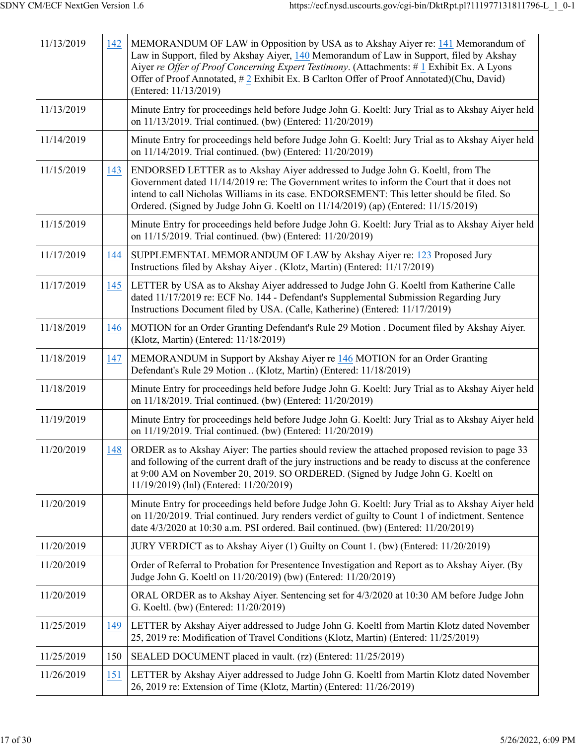| 11/13/2019 | 142 | MEMORANDUM OF LAW in Opposition by USA as to Akshay Aiyer re: 141 Memorandum of<br>Law in Support, filed by Akshay Aiyer, 140 Memorandum of Law in Support, filed by Akshay<br>Aiyer re Offer of Proof Concerning Expert Testimony. (Attachments: #1 Exhibit Ex. A Lyons<br>Offer of Proof Annotated, #2 Exhibit Ex. B Carlton Offer of Proof Annotated)(Chu, David)<br>(Entered: 11/13/2019) |
|------------|-----|-----------------------------------------------------------------------------------------------------------------------------------------------------------------------------------------------------------------------------------------------------------------------------------------------------------------------------------------------------------------------------------------------|
| 11/13/2019 |     | Minute Entry for proceedings held before Judge John G. Koeltl: Jury Trial as to Akshay Aiyer held<br>on 11/13/2019. Trial continued. (bw) (Entered: 11/20/2019)                                                                                                                                                                                                                               |
| 11/14/2019 |     | Minute Entry for proceedings held before Judge John G. Koeltl: Jury Trial as to Akshay Aiyer held<br>on 11/14/2019. Trial continued. (bw) (Entered: 11/20/2019)                                                                                                                                                                                                                               |
| 11/15/2019 | 143 | ENDORSED LETTER as to Akshay Aiyer addressed to Judge John G. Koeltl, from The<br>Government dated 11/14/2019 re: The Government writes to inform the Court that it does not<br>intend to call Nicholas Williams in its case. ENDORSEMENT: This letter should be filed. So<br>Ordered. (Signed by Judge John G. Koeltl on 11/14/2019) (ap) (Entered: 11/15/2019)                              |
| 11/15/2019 |     | Minute Entry for proceedings held before Judge John G. Koeltl: Jury Trial as to Akshay Aiyer held<br>on 11/15/2019. Trial continued. (bw) (Entered: 11/20/2019)                                                                                                                                                                                                                               |
| 11/17/2019 | 144 | SUPPLEMENTAL MEMORANDUM OF LAW by Akshay Aiyer re: 123 Proposed Jury<br>Instructions filed by Akshay Aiyer . (Klotz, Martin) (Entered: 11/17/2019)                                                                                                                                                                                                                                            |
| 11/17/2019 | 145 | LETTER by USA as to Akshay Aiyer addressed to Judge John G. Koeltl from Katherine Calle<br>dated 11/17/2019 re: ECF No. 144 - Defendant's Supplemental Submission Regarding Jury<br>Instructions Document filed by USA. (Calle, Katherine) (Entered: 11/17/2019)                                                                                                                              |
| 11/18/2019 | 146 | MOTION for an Order Granting Defendant's Rule 29 Motion . Document filed by Akshay Aiyer.<br>(Klotz, Martin) (Entered: 11/18/2019)                                                                                                                                                                                                                                                            |
| 11/18/2019 | 147 | MEMORANDUM in Support by Akshay Aiyer re 146 MOTION for an Order Granting<br>Defendant's Rule 29 Motion  (Klotz, Martin) (Entered: 11/18/2019)                                                                                                                                                                                                                                                |
| 11/18/2019 |     | Minute Entry for proceedings held before Judge John G. Koeltl: Jury Trial as to Akshay Aiyer held<br>on 11/18/2019. Trial continued. (bw) (Entered: 11/20/2019)                                                                                                                                                                                                                               |
| 11/19/2019 |     | Minute Entry for proceedings held before Judge John G. Koeltl: Jury Trial as to Akshay Aiyer held<br>on 11/19/2019. Trial continued. (bw) (Entered: 11/20/2019)                                                                                                                                                                                                                               |
| 11/20/2019 | 148 | ORDER as to Akshay Aiyer: The parties should review the attached proposed revision to page 33<br>and following of the current draft of the jury instructions and be ready to discuss at the conference<br>at 9:00 AM on November 20, 2019. SO ORDERED. (Signed by Judge John G. Koeltl on<br>11/19/2019) (lnl) (Entered: 11/20/2019)                                                          |
| 11/20/2019 |     | Minute Entry for proceedings held before Judge John G. Koeltl: Jury Trial as to Akshay Aiyer held<br>on 11/20/2019. Trial continued. Jury renders verdict of guilty to Count 1 of indictment. Sentence<br>date 4/3/2020 at 10:30 a.m. PSI ordered. Bail continued. (bw) (Entered: 11/20/2019)                                                                                                 |
| 11/20/2019 |     | JURY VERDICT as to Akshay Aiyer (1) Guilty on Count 1. (bw) (Entered: 11/20/2019)                                                                                                                                                                                                                                                                                                             |
| 11/20/2019 |     | Order of Referral to Probation for Presentence Investigation and Report as to Akshay Aiyer. (By<br>Judge John G. Koeltl on 11/20/2019) (bw) (Entered: 11/20/2019)                                                                                                                                                                                                                             |
| 11/20/2019 |     | ORAL ORDER as to Akshay Aiyer. Sentencing set for 4/3/2020 at 10:30 AM before Judge John<br>G. Koeltl. (bw) (Entered: 11/20/2019)                                                                                                                                                                                                                                                             |
| 11/25/2019 | 149 | LETTER by Akshay Aiyer addressed to Judge John G. Koeltl from Martin Klotz dated November<br>25, 2019 re: Modification of Travel Conditions (Klotz, Martin) (Entered: 11/25/2019)                                                                                                                                                                                                             |
| 11/25/2019 | 150 | SEALED DOCUMENT placed in vault. (rz) (Entered: 11/25/2019)                                                                                                                                                                                                                                                                                                                                   |
| 11/26/2019 | 151 | LETTER by Akshay Aiyer addressed to Judge John G. Koeltl from Martin Klotz dated November<br>26, 2019 re: Extension of Time (Klotz, Martin) (Entered: 11/26/2019)                                                                                                                                                                                                                             |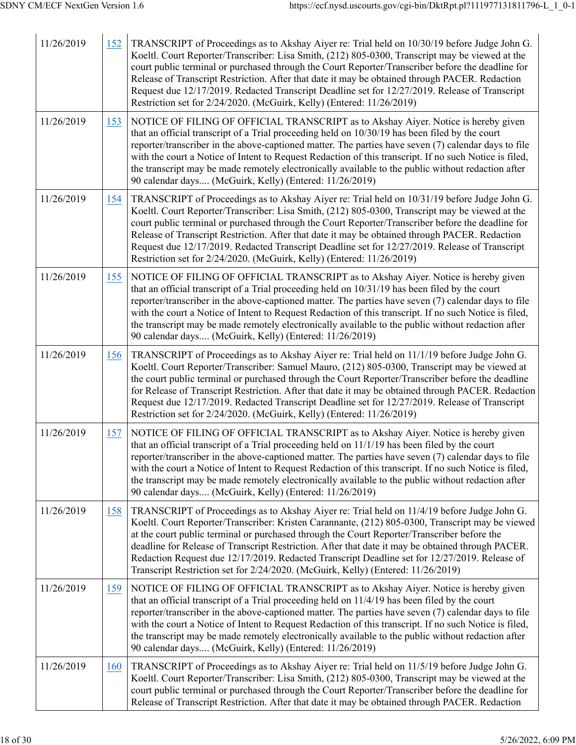| 11/26/2019 | 152 | TRANSCRIPT of Proceedings as to Akshay Aiyer re: Trial held on 10/30/19 before Judge John G.<br>Koeltl. Court Reporter/Transcriber: Lisa Smith, (212) 805-0300, Transcript may be viewed at the<br>court public terminal or purchased through the Court Reporter/Transcriber before the deadline for<br>Release of Transcript Restriction. After that date it may be obtained through PACER. Redaction<br>Request due 12/17/2019. Redacted Transcript Deadline set for 12/27/2019. Release of Transcript<br>Restriction set for 2/24/2020. (McGuirk, Kelly) (Entered: 11/26/2019)        |
|------------|-----|------------------------------------------------------------------------------------------------------------------------------------------------------------------------------------------------------------------------------------------------------------------------------------------------------------------------------------------------------------------------------------------------------------------------------------------------------------------------------------------------------------------------------------------------------------------------------------------|
| 11/26/2019 | 153 | NOTICE OF FILING OF OFFICIAL TRANSCRIPT as to Akshay Aiyer. Notice is hereby given<br>that an official transcript of a Trial proceeding held on $10/30/19$ has been filed by the court<br>reporter/transcriber in the above-captioned matter. The parties have seven (7) calendar days to file<br>with the court a Notice of Intent to Request Redaction of this transcript. If no such Notice is filed,<br>the transcript may be made remotely electronically available to the public without redaction after<br>90 calendar days (McGuirk, Kelly) (Entered: 11/26/2019)                |
| 11/26/2019 | 154 | TRANSCRIPT of Proceedings as to Akshay Aiyer re: Trial held on 10/31/19 before Judge John G.<br>Koeltl. Court Reporter/Transcriber: Lisa Smith, (212) 805-0300, Transcript may be viewed at the<br>court public terminal or purchased through the Court Reporter/Transcriber before the deadline for<br>Release of Transcript Restriction. After that date it may be obtained through PACER. Redaction<br>Request due 12/17/2019. Redacted Transcript Deadline set for 12/27/2019. Release of Transcript<br>Restriction set for 2/24/2020. (McGuirk, Kelly) (Entered: 11/26/2019)        |
| 11/26/2019 | 155 | NOTICE OF FILING OF OFFICIAL TRANSCRIPT as to Akshay Aiyer. Notice is hereby given<br>that an official transcript of a Trial proceeding held on 10/31/19 has been filed by the court<br>reporter/transcriber in the above-captioned matter. The parties have seven (7) calendar days to file<br>with the court a Notice of Intent to Request Redaction of this transcript. If no such Notice is filed,<br>the transcript may be made remotely electronically available to the public without redaction after<br>90 calendar days (McGuirk, Kelly) (Entered: 11/26/2019)                  |
| 11/26/2019 | 156 | TRANSCRIPT of Proceedings as to Akshay Aiyer re: Trial held on 11/1/19 before Judge John G.<br>Koeltl. Court Reporter/Transcriber: Samuel Mauro, (212) 805-0300, Transcript may be viewed at<br>the court public terminal or purchased through the Court Reporter/Transcriber before the deadline<br>for Release of Transcript Restriction. After that date it may be obtained through PACER. Redaction<br>Request due 12/17/2019. Redacted Transcript Deadline set for 12/27/2019. Release of Transcript<br>Restriction set for 2/24/2020. (McGuirk, Kelly) (Entered: 11/26/2019)       |
| 11/26/2019 | 157 | NOTICE OF FILING OF OFFICIAL TRANSCRIPT as to Akshay Aiyer. Notice is hereby given<br>that an official transcript of a Trial proceeding held on 11/1/19 has been filed by the court<br>reporter/transcriber in the above-captioned matter. The parties have seven (7) calendar days to file<br>with the court a Notice of Intent to Request Redaction of this transcript. If no such Notice is filed,<br>the transcript may be made remotely electronically available to the public without redaction after<br>90 calendar days (McGuirk, Kelly) (Entered: 11/26/2019)                   |
| 11/26/2019 | 158 | TRANSCRIPT of Proceedings as to Akshay Aiyer re: Trial held on 11/4/19 before Judge John G.<br>Koeltl. Court Reporter/Transcriber: Kristen Carannante, (212) 805-0300, Transcript may be viewed<br>at the court public terminal or purchased through the Court Reporter/Transcriber before the<br>deadline for Release of Transcript Restriction. After that date it may be obtained through PACER.<br>Redaction Request due 12/17/2019. Redacted Transcript Deadline set for 12/27/2019. Release of<br>Transcript Restriction set for 2/24/2020. (McGuirk, Kelly) (Entered: 11/26/2019) |
| 11/26/2019 | 159 | NOTICE OF FILING OF OFFICIAL TRANSCRIPT as to Akshay Aiyer. Notice is hereby given<br>that an official transcript of a Trial proceeding held on 11/4/19 has been filed by the court<br>reporter/transcriber in the above-captioned matter. The parties have seven (7) calendar days to file<br>with the court a Notice of Intent to Request Redaction of this transcript. If no such Notice is filed,<br>the transcript may be made remotely electronically available to the public without redaction after<br>90 calendar days (McGuirk, Kelly) (Entered: 11/26/2019)                   |
| 11/26/2019 | 160 | TRANSCRIPT of Proceedings as to Akshay Aiyer re: Trial held on 11/5/19 before Judge John G.<br>Koeltl. Court Reporter/Transcriber: Lisa Smith, (212) 805-0300, Transcript may be viewed at the<br>court public terminal or purchased through the Court Reporter/Transcriber before the deadline for<br>Release of Transcript Restriction. After that date it may be obtained through PACER. Redaction                                                                                                                                                                                    |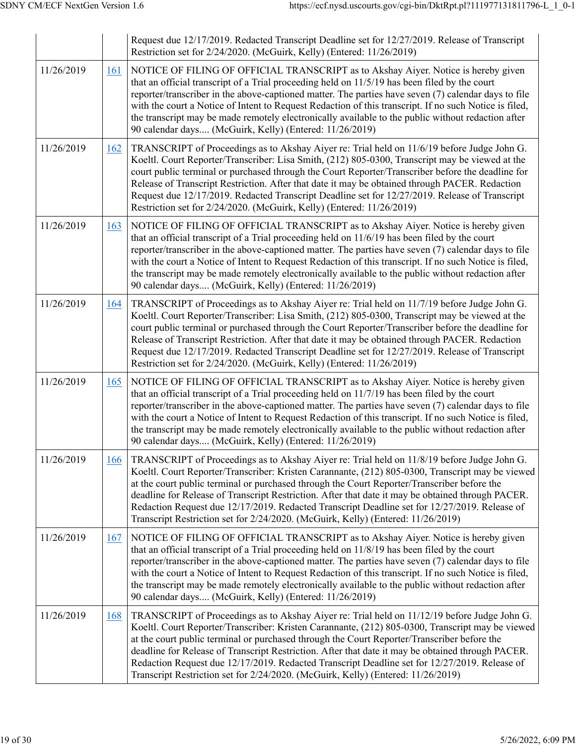|            |            | Request due 12/17/2019. Redacted Transcript Deadline set for 12/27/2019. Release of Transcript<br>Restriction set for 2/24/2020. (McGuirk, Kelly) (Entered: 11/26/2019)                                                                                                                                                                                                                                                                                                                                                                                                                   |
|------------|------------|-------------------------------------------------------------------------------------------------------------------------------------------------------------------------------------------------------------------------------------------------------------------------------------------------------------------------------------------------------------------------------------------------------------------------------------------------------------------------------------------------------------------------------------------------------------------------------------------|
| 11/26/2019 | 161        | NOTICE OF FILING OF OFFICIAL TRANSCRIPT as to Akshay Aiyer. Notice is hereby given<br>that an official transcript of a Trial proceeding held on 11/5/19 has been filed by the court<br>reporter/transcriber in the above-captioned matter. The parties have seven (7) calendar days to file<br>with the court a Notice of Intent to Request Redaction of this transcript. If no such Notice is filed,<br>the transcript may be made remotely electronically available to the public without redaction after<br>90 calendar days (McGuirk, Kelly) (Entered: 11/26/2019)                    |
| 11/26/2019 | 162        | TRANSCRIPT of Proceedings as to Akshay Aiyer re: Trial held on 11/6/19 before Judge John G.<br>Koeltl. Court Reporter/Transcriber: Lisa Smith, (212) 805-0300, Transcript may be viewed at the<br>court public terminal or purchased through the Court Reporter/Transcriber before the deadline for<br>Release of Transcript Restriction. After that date it may be obtained through PACER. Redaction<br>Request due 12/17/2019. Redacted Transcript Deadline set for 12/27/2019. Release of Transcript<br>Restriction set for 2/24/2020. (McGuirk, Kelly) (Entered: 11/26/2019)          |
| 11/26/2019 | 163        | NOTICE OF FILING OF OFFICIAL TRANSCRIPT as to Akshay Aiyer. Notice is hereby given<br>that an official transcript of a Trial proceeding held on 11/6/19 has been filed by the court<br>reporter/transcriber in the above-captioned matter. The parties have seven (7) calendar days to file<br>with the court a Notice of Intent to Request Redaction of this transcript. If no such Notice is filed,<br>the transcript may be made remotely electronically available to the public without redaction after<br>90 calendar days (McGuirk, Kelly) (Entered: 11/26/2019)                    |
| 11/26/2019 | 164        | TRANSCRIPT of Proceedings as to Akshay Aiyer re: Trial held on 11/7/19 before Judge John G.<br>Koeltl. Court Reporter/Transcriber: Lisa Smith, (212) 805-0300, Transcript may be viewed at the<br>court public terminal or purchased through the Court Reporter/Transcriber before the deadline for<br>Release of Transcript Restriction. After that date it may be obtained through PACER. Redaction<br>Request due 12/17/2019. Redacted Transcript Deadline set for 12/27/2019. Release of Transcript<br>Restriction set for 2/24/2020. (McGuirk, Kelly) (Entered: 11/26/2019)          |
| 11/26/2019 | 165        | NOTICE OF FILING OF OFFICIAL TRANSCRIPT as to Akshay Aiyer. Notice is hereby given<br>that an official transcript of a Trial proceeding held on 11/7/19 has been filed by the court<br>reporter/transcriber in the above-captioned matter. The parties have seven (7) calendar days to file<br>with the court a Notice of Intent to Request Redaction of this transcript. If no such Notice is filed,<br>the transcript may be made remotely electronically available to the public without redaction after<br>90 calendar days (McGuirk, Kelly) (Entered: 11/26/2019)                    |
| 11/26/2019 | 166        | TRANSCRIPT of Proceedings as to Akshay Aiyer re: Trial held on 11/8/19 before Judge John G.<br>Koeltl. Court Reporter/Transcriber: Kristen Carannante, (212) 805-0300, Transcript may be viewed<br>at the court public terminal or purchased through the Court Reporter/Transcriber before the<br>deadline for Release of Transcript Restriction. After that date it may be obtained through PACER.<br>Redaction Request due 12/17/2019. Redacted Transcript Deadline set for 12/27/2019. Release of<br>Transcript Restriction set for 2/24/2020. (McGuirk, Kelly) (Entered: 11/26/2019)  |
| 11/26/2019 | <u>167</u> | NOTICE OF FILING OF OFFICIAL TRANSCRIPT as to Akshay Aiyer. Notice is hereby given<br>that an official transcript of a Trial proceeding held on 11/8/19 has been filed by the court<br>reporter/transcriber in the above-captioned matter. The parties have seven (7) calendar days to file<br>with the court a Notice of Intent to Request Redaction of this transcript. If no such Notice is filed,<br>the transcript may be made remotely electronically available to the public without redaction after<br>90 calendar days (McGuirk, Kelly) (Entered: 11/26/2019)                    |
| 11/26/2019 | 168        | TRANSCRIPT of Proceedings as to Akshay Aiyer re: Trial held on 11/12/19 before Judge John G.<br>Koeltl. Court Reporter/Transcriber: Kristen Carannante, (212) 805-0300, Transcript may be viewed<br>at the court public terminal or purchased through the Court Reporter/Transcriber before the<br>deadline for Release of Transcript Restriction. After that date it may be obtained through PACER.<br>Redaction Request due 12/17/2019. Redacted Transcript Deadline set for 12/27/2019. Release of<br>Transcript Restriction set for 2/24/2020. (McGuirk, Kelly) (Entered: 11/26/2019) |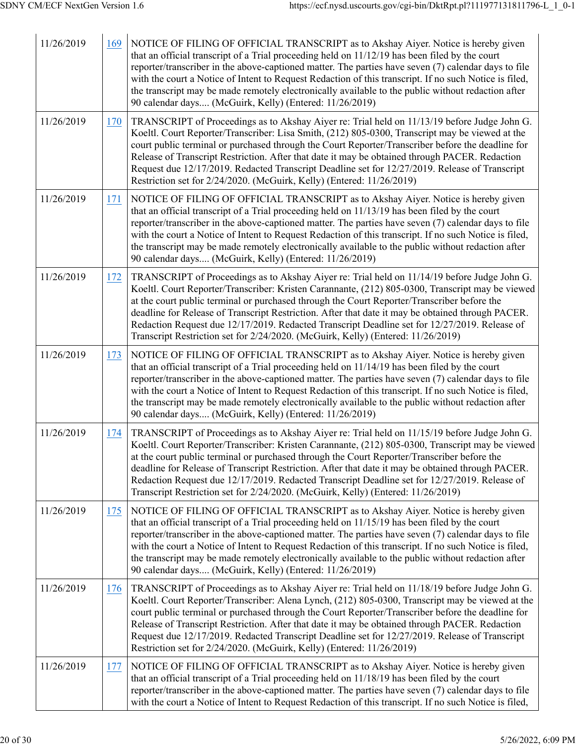| 11/26/2019 | 169 | NOTICE OF FILING OF OFFICIAL TRANSCRIPT as to Akshay Aiyer. Notice is hereby given<br>that an official transcript of a Trial proceeding held on $11/12/19$ has been filed by the court<br>reporter/transcriber in the above-captioned matter. The parties have seven (7) calendar days to file<br>with the court a Notice of Intent to Request Redaction of this transcript. If no such Notice is filed,<br>the transcript may be made remotely electronically available to the public without redaction after<br>90 calendar days (McGuirk, Kelly) (Entered: 11/26/2019)                 |
|------------|-----|-------------------------------------------------------------------------------------------------------------------------------------------------------------------------------------------------------------------------------------------------------------------------------------------------------------------------------------------------------------------------------------------------------------------------------------------------------------------------------------------------------------------------------------------------------------------------------------------|
| 11/26/2019 | 170 | TRANSCRIPT of Proceedings as to Akshay Aiyer re: Trial held on 11/13/19 before Judge John G.<br>Koeltl. Court Reporter/Transcriber: Lisa Smith, (212) 805-0300, Transcript may be viewed at the<br>court public terminal or purchased through the Court Reporter/Transcriber before the deadline for<br>Release of Transcript Restriction. After that date it may be obtained through PACER. Redaction<br>Request due 12/17/2019. Redacted Transcript Deadline set for 12/27/2019. Release of Transcript<br>Restriction set for 2/24/2020. (McGuirk, Kelly) (Entered: 11/26/2019)         |
| 11/26/2019 | 171 | NOTICE OF FILING OF OFFICIAL TRANSCRIPT as to Akshay Aiyer. Notice is hereby given<br>that an official transcript of a Trial proceeding held on $11/13/19$ has been filed by the court<br>reporter/transcriber in the above-captioned matter. The parties have seven (7) calendar days to file<br>with the court a Notice of Intent to Request Redaction of this transcript. If no such Notice is filed,<br>the transcript may be made remotely electronically available to the public without redaction after<br>90 calendar days (McGuirk, Kelly) (Entered: 11/26/2019)                 |
| 11/26/2019 | 172 | TRANSCRIPT of Proceedings as to Akshay Aiyer re: Trial held on 11/14/19 before Judge John G.<br>Koeltl. Court Reporter/Transcriber: Kristen Carannante, (212) 805-0300, Transcript may be viewed<br>at the court public terminal or purchased through the Court Reporter/Transcriber before the<br>deadline for Release of Transcript Restriction. After that date it may be obtained through PACER.<br>Redaction Request due 12/17/2019. Redacted Transcript Deadline set for 12/27/2019. Release of<br>Transcript Restriction set for 2/24/2020. (McGuirk, Kelly) (Entered: 11/26/2019) |
| 11/26/2019 | 173 | NOTICE OF FILING OF OFFICIAL TRANSCRIPT as to Akshay Aiyer. Notice is hereby given<br>that an official transcript of a Trial proceeding held on 11/14/19 has been filed by the court<br>reporter/transcriber in the above-captioned matter. The parties have seven (7) calendar days to file<br>with the court a Notice of Intent to Request Redaction of this transcript. If no such Notice is filed,<br>the transcript may be made remotely electronically available to the public without redaction after<br>90 calendar days (McGuirk, Kelly) (Entered: 11/26/2019)                   |
| 11/26/2019 | 174 | TRANSCRIPT of Proceedings as to Akshay Aiyer re: Trial held on 11/15/19 before Judge John G.<br>Koeltl. Court Reporter/Transcriber: Kristen Carannante, (212) 805-0300, Transcript may be viewed<br>at the court public terminal or purchased through the Court Reporter/Transcriber before the<br>deadline for Release of Transcript Restriction. After that date it may be obtained through PACER.<br>Redaction Request due 12/17/2019. Redacted Transcript Deadline set for 12/27/2019. Release of<br>Transcript Restriction set for 2/24/2020. (McGuirk, Kelly) (Entered: 11/26/2019) |
| 11/26/2019 | 175 | NOTICE OF FILING OF OFFICIAL TRANSCRIPT as to Akshay Aiyer. Notice is hereby given<br>that an official transcript of a Trial proceeding held on 11/15/19 has been filed by the court<br>reporter/transcriber in the above-captioned matter. The parties have seven (7) calendar days to file<br>with the court a Notice of Intent to Request Redaction of this transcript. If no such Notice is filed,<br>the transcript may be made remotely electronically available to the public without redaction after<br>90 calendar days (McGuirk, Kelly) (Entered: 11/26/2019)                   |
| 11/26/2019 | 176 | TRANSCRIPT of Proceedings as to Akshay Aiyer re: Trial held on 11/18/19 before Judge John G.<br>Koeltl. Court Reporter/Transcriber: Alena Lynch, (212) 805-0300, Transcript may be viewed at the<br>court public terminal or purchased through the Court Reporter/Transcriber before the deadline for<br>Release of Transcript Restriction. After that date it may be obtained through PACER. Redaction<br>Request due 12/17/2019. Redacted Transcript Deadline set for 12/27/2019. Release of Transcript<br>Restriction set for 2/24/2020. (McGuirk, Kelly) (Entered: 11/26/2019)        |
| 11/26/2019 | 177 | NOTICE OF FILING OF OFFICIAL TRANSCRIPT as to Akshay Aiyer. Notice is hereby given<br>that an official transcript of a Trial proceeding held on 11/18/19 has been filed by the court<br>reporter/transcriber in the above-captioned matter. The parties have seven (7) calendar days to file<br>with the court a Notice of Intent to Request Redaction of this transcript. If no such Notice is filed,                                                                                                                                                                                    |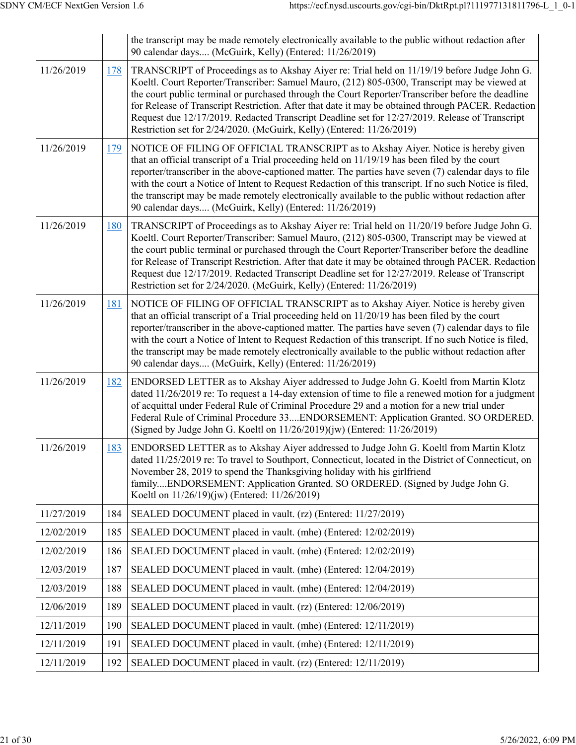|            |            | the transcript may be made remotely electronically available to the public without redaction after<br>90 calendar days (McGuirk, Kelly) (Entered: 11/26/2019)                                                                                                                                                                                                                                                                                                                                                                                                                       |
|------------|------------|-------------------------------------------------------------------------------------------------------------------------------------------------------------------------------------------------------------------------------------------------------------------------------------------------------------------------------------------------------------------------------------------------------------------------------------------------------------------------------------------------------------------------------------------------------------------------------------|
| 11/26/2019 | <u>178</u> | TRANSCRIPT of Proceedings as to Akshay Aiyer re: Trial held on 11/19/19 before Judge John G.<br>Koeltl. Court Reporter/Transcriber: Samuel Mauro, (212) 805-0300, Transcript may be viewed at<br>the court public terminal or purchased through the Court Reporter/Transcriber before the deadline<br>for Release of Transcript Restriction. After that date it may be obtained through PACER. Redaction<br>Request due 12/17/2019. Redacted Transcript Deadline set for 12/27/2019. Release of Transcript<br>Restriction set for 2/24/2020. (McGuirk, Kelly) (Entered: 11/26/2019) |
| 11/26/2019 | 179        | NOTICE OF FILING OF OFFICIAL TRANSCRIPT as to Akshay Aiyer. Notice is hereby given<br>that an official transcript of a Trial proceeding held on 11/19/19 has been filed by the court<br>reporter/transcriber in the above-captioned matter. The parties have seven (7) calendar days to file<br>with the court a Notice of Intent to Request Redaction of this transcript. If no such Notice is filed,<br>the transcript may be made remotely electronically available to the public without redaction after<br>90 calendar days (McGuirk, Kelly) (Entered: 11/26/2019)             |
| 11/26/2019 | 180        | TRANSCRIPT of Proceedings as to Akshay Aiyer re: Trial held on 11/20/19 before Judge John G.<br>Koeltl. Court Reporter/Transcriber: Samuel Mauro, (212) 805-0300, Transcript may be viewed at<br>the court public terminal or purchased through the Court Reporter/Transcriber before the deadline<br>for Release of Transcript Restriction. After that date it may be obtained through PACER. Redaction<br>Request due 12/17/2019. Redacted Transcript Deadline set for 12/27/2019. Release of Transcript<br>Restriction set for 2/24/2020. (McGuirk, Kelly) (Entered: 11/26/2019) |
| 11/26/2019 | 181        | NOTICE OF FILING OF OFFICIAL TRANSCRIPT as to Akshay Aiyer. Notice is hereby given<br>that an official transcript of a Trial proceeding held on $11/20/19$ has been filed by the court<br>reporter/transcriber in the above-captioned matter. The parties have seven (7) calendar days to file<br>with the court a Notice of Intent to Request Redaction of this transcript. If no such Notice is filed,<br>the transcript may be made remotely electronically available to the public without redaction after<br>90 calendar days (McGuirk, Kelly) (Entered: 11/26/2019)           |
| 11/26/2019 | 182        | ENDORSED LETTER as to Akshay Aiyer addressed to Judge John G. Koeltl from Martin Klotz<br>dated 11/26/2019 re: To request a 14-day extension of time to file a renewed motion for a judgment<br>of acquittal under Federal Rule of Criminal Procedure 29 and a motion for a new trial under<br>Federal Rule of Criminal Procedure 33ENDORSEMENT: Application Granted. SO ORDERED.<br>(Signed by Judge John G. Koeltl on 11/26/2019)(jw) (Entered: 11/26/2019)                                                                                                                       |
| 11/26/2019 | 183        | ENDORSED LETTER as to Akshay Aiyer addressed to Judge John G. Koeltl from Martin Klotz<br>dated 11/25/2019 re: To travel to Southport, Connecticut, located in the District of Connecticut, on<br>November 28, 2019 to spend the Thanksgiving holiday with his girlfriend<br>familyENDORSEMENT: Application Granted. SO ORDERED. (Signed by Judge John G.<br>Koeltl on 11/26/19)(jw) (Entered: 11/26/2019)                                                                                                                                                                          |
| 11/27/2019 | 184        | SEALED DOCUMENT placed in vault. (rz) (Entered: 11/27/2019)                                                                                                                                                                                                                                                                                                                                                                                                                                                                                                                         |
| 12/02/2019 | 185        | SEALED DOCUMENT placed in vault. (mhe) (Entered: 12/02/2019)                                                                                                                                                                                                                                                                                                                                                                                                                                                                                                                        |
| 12/02/2019 | 186        | SEALED DOCUMENT placed in vault. (mhe) (Entered: 12/02/2019)                                                                                                                                                                                                                                                                                                                                                                                                                                                                                                                        |
| 12/03/2019 | 187        | SEALED DOCUMENT placed in vault. (mhe) (Entered: 12/04/2019)                                                                                                                                                                                                                                                                                                                                                                                                                                                                                                                        |
| 12/03/2019 | 188        | SEALED DOCUMENT placed in vault. (mhe) (Entered: 12/04/2019)                                                                                                                                                                                                                                                                                                                                                                                                                                                                                                                        |
| 12/06/2019 | 189        | SEALED DOCUMENT placed in vault. (rz) (Entered: 12/06/2019)                                                                                                                                                                                                                                                                                                                                                                                                                                                                                                                         |
| 12/11/2019 | 190        | SEALED DOCUMENT placed in vault. (mhe) (Entered: 12/11/2019)                                                                                                                                                                                                                                                                                                                                                                                                                                                                                                                        |
| 12/11/2019 | 191        | SEALED DOCUMENT placed in vault. (mhe) (Entered: 12/11/2019)                                                                                                                                                                                                                                                                                                                                                                                                                                                                                                                        |
| 12/11/2019 | 192        | SEALED DOCUMENT placed in vault. (rz) (Entered: 12/11/2019)                                                                                                                                                                                                                                                                                                                                                                                                                                                                                                                         |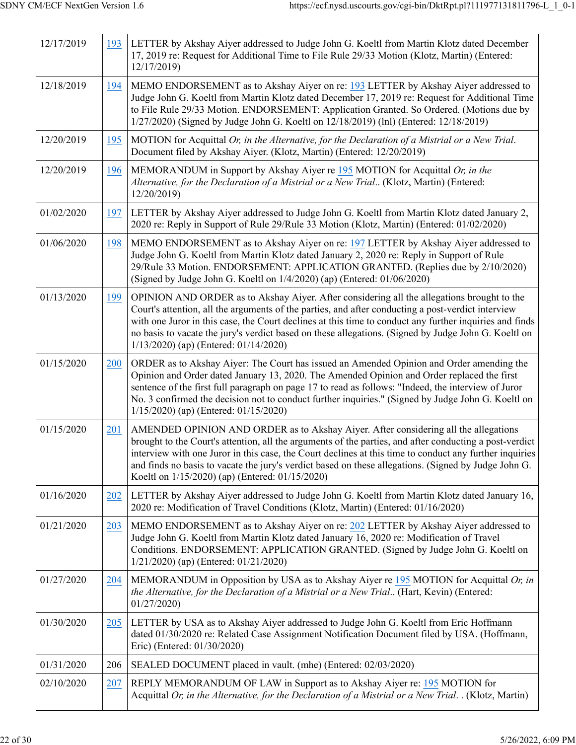| 12/17/2019 | 193 | LETTER by Akshay Aiyer addressed to Judge John G. Koeltl from Martin Klotz dated December<br>17, 2019 re: Request for Additional Time to File Rule 29/33 Motion (Klotz, Martin) (Entered:<br>12/17/2019)                                                                                                                                                                                                                                                             |
|------------|-----|----------------------------------------------------------------------------------------------------------------------------------------------------------------------------------------------------------------------------------------------------------------------------------------------------------------------------------------------------------------------------------------------------------------------------------------------------------------------|
| 12/18/2019 | 194 | MEMO ENDORSEMENT as to Akshay Aiyer on re: 193 LETTER by Akshay Aiyer addressed to<br>Judge John G. Koeltl from Martin Klotz dated December 17, 2019 re: Request for Additional Time<br>to File Rule 29/33 Motion. ENDORSEMENT: Application Granted. So Ordered. (Motions due by<br>1/27/2020) (Signed by Judge John G. Koeltl on 12/18/2019) (lnl) (Entered: 12/18/2019)                                                                                            |
| 12/20/2019 | 195 | MOTION for Acquittal Or, in the Alternative, for the Declaration of a Mistrial or a New Trial.<br>Document filed by Akshay Aiyer. (Klotz, Martin) (Entered: 12/20/2019)                                                                                                                                                                                                                                                                                              |
| 12/20/2019 | 196 | MEMORANDUM in Support by Akshay Aiyer re $195$ MOTION for Acquittal Or, in the<br>Alternative, for the Declaration of a Mistrial or a New Trial (Klotz, Martin) (Entered:<br>12/20/2019)                                                                                                                                                                                                                                                                             |
| 01/02/2020 | 197 | LETTER by Akshay Aiyer addressed to Judge John G. Koeltl from Martin Klotz dated January 2,<br>2020 re: Reply in Support of Rule 29/Rule 33 Motion (Klotz, Martin) (Entered: 01/02/2020)                                                                                                                                                                                                                                                                             |
| 01/06/2020 | 198 | MEMO ENDORSEMENT as to Akshay Aiyer on re: 197 LETTER by Akshay Aiyer addressed to<br>Judge John G. Koeltl from Martin Klotz dated January 2, 2020 re: Reply in Support of Rule<br>29/Rule 33 Motion. ENDORSEMENT: APPLICATION GRANTED. (Replies due by 2/10/2020)<br>(Signed by Judge John G. Koeltl on 1/4/2020) (ap) (Entered: 01/06/2020)                                                                                                                        |
| 01/13/2020 | 199 | OPINION AND ORDER as to Akshay Aiyer. After considering all the allegations brought to the<br>Court's attention, all the arguments of the parties, and after conducting a post-verdict interview<br>with one Juror in this case, the Court declines at this time to conduct any further inquiries and finds<br>no basis to vacate the jury's verdict based on these allegations. (Signed by Judge John G. Koeltl on<br>$1/13/2020$ (ap) (Entered: 01/14/2020)        |
| 01/15/2020 | 200 | ORDER as to Akshay Aiyer: The Court has issued an Amended Opinion and Order amending the<br>Opinion and Order dated January 13, 2020. The Amended Opinion and Order replaced the first<br>sentence of the first full paragraph on page 17 to read as follows: "Indeed, the interview of Juror<br>No. 3 confirmed the decision not to conduct further inquiries." (Signed by Judge John G. Koeltl on<br>1/15/2020) (ap) (Entered: 01/15/2020)                         |
| 01/15/2020 | 201 | AMENDED OPINION AND ORDER as to Akshay Aiyer. After considering all the allegations<br>brought to the Court's attention, all the arguments of the parties, and after conducting a post-verdict<br>interview with one Juror in this case, the Court declines at this time to conduct any further inquiries<br>and finds no basis to vacate the jury's verdict based on these allegations. (Signed by Judge John G.<br>Koeltl on 1/15/2020) (ap) (Entered: 01/15/2020) |
| 01/16/2020 | 202 | LETTER by Akshay Aiyer addressed to Judge John G. Koeltl from Martin Klotz dated January 16,<br>2020 re: Modification of Travel Conditions (Klotz, Martin) (Entered: 01/16/2020)                                                                                                                                                                                                                                                                                     |
| 01/21/2020 | 203 | MEMO ENDORSEMENT as to Akshay Aiyer on re: 202 LETTER by Akshay Aiyer addressed to<br>Judge John G. Koeltl from Martin Klotz dated January 16, 2020 re: Modification of Travel<br>Conditions. ENDORSEMENT: APPLICATION GRANTED. (Signed by Judge John G. Koeltl on<br>$1/21/2020$ (ap) (Entered: 01/21/2020)                                                                                                                                                         |
| 01/27/2020 | 204 | MEMORANDUM in Opposition by USA as to Akshay Aiyer re $195$ MOTION for Acquittal Or, in<br>the Alternative, for the Declaration of a Mistrial or a New Trial (Hart, Kevin) (Entered:<br>01/27/2020                                                                                                                                                                                                                                                                   |
| 01/30/2020 | 205 | LETTER by USA as to Akshay Aiyer addressed to Judge John G. Koeltl from Eric Hoffmann<br>dated 01/30/2020 re: Related Case Assignment Notification Document filed by USA. (Hoffmann,<br>Eric) (Entered: 01/30/2020)                                                                                                                                                                                                                                                  |
| 01/31/2020 | 206 | SEALED DOCUMENT placed in vault. (mhe) (Entered: 02/03/2020)                                                                                                                                                                                                                                                                                                                                                                                                         |
| 02/10/2020 | 207 | REPLY MEMORANDUM OF LAW in Support as to Akshay Aiyer re: 195 MOTION for<br>Acquittal Or, in the Alternative, for the Declaration of a Mistrial or a New Trial. (Klotz, Martin)                                                                                                                                                                                                                                                                                      |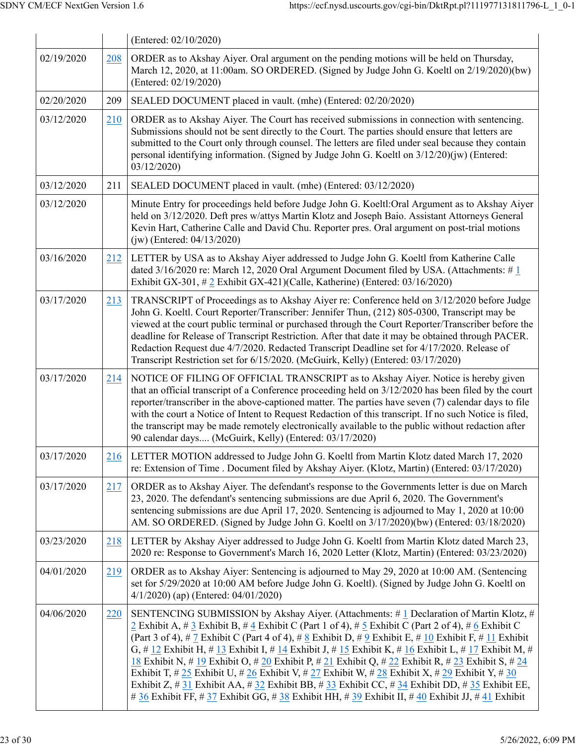|            |     | (Entered: 02/10/2020)                                                                                                                                                                                                                                                                                                                                                                                                                                                                                                                                                                                                                                                                                                                                                                                                            |
|------------|-----|----------------------------------------------------------------------------------------------------------------------------------------------------------------------------------------------------------------------------------------------------------------------------------------------------------------------------------------------------------------------------------------------------------------------------------------------------------------------------------------------------------------------------------------------------------------------------------------------------------------------------------------------------------------------------------------------------------------------------------------------------------------------------------------------------------------------------------|
| 02/19/2020 | 208 | ORDER as to Akshay Aiyer. Oral argument on the pending motions will be held on Thursday,<br>March 12, 2020, at 11:00am. SO ORDERED. (Signed by Judge John G. Koeltl on 2/19/2020)(bw)<br>(Entered: 02/19/2020)                                                                                                                                                                                                                                                                                                                                                                                                                                                                                                                                                                                                                   |
| 02/20/2020 | 209 | SEALED DOCUMENT placed in vault. (mhe) (Entered: 02/20/2020)                                                                                                                                                                                                                                                                                                                                                                                                                                                                                                                                                                                                                                                                                                                                                                     |
| 03/12/2020 | 210 | ORDER as to Akshay Aiyer. The Court has received submissions in connection with sentencing.<br>Submissions should not be sent directly to the Court. The parties should ensure that letters are<br>submitted to the Court only through counsel. The letters are filed under seal because they contain<br>personal identifying information. (Signed by Judge John G. Koeltl on 3/12/20)(jw) (Entered:<br>03/12/2020                                                                                                                                                                                                                                                                                                                                                                                                               |
| 03/12/2020 | 211 | SEALED DOCUMENT placed in vault. (mhe) (Entered: 03/12/2020)                                                                                                                                                                                                                                                                                                                                                                                                                                                                                                                                                                                                                                                                                                                                                                     |
| 03/12/2020 |     | Minute Entry for proceedings held before Judge John G. Koeltl: Oral Argument as to Akshay Aiyer<br>held on 3/12/2020. Deft pres w/attys Martin Klotz and Joseph Baio. Assistant Attorneys General<br>Kevin Hart, Catherine Calle and David Chu. Reporter pres. Oral argument on post-trial motions<br>$(iw)$ (Entered: 04/13/2020)                                                                                                                                                                                                                                                                                                                                                                                                                                                                                               |
| 03/16/2020 | 212 | LETTER by USA as to Akshay Aiyer addressed to Judge John G. Koeltl from Katherine Calle<br>dated $3/16/2020$ re: March 12, 2020 Oral Argument Document filed by USA. (Attachments: #1)<br>Exhibit GX-301, $\# 2$ Exhibit GX-421)(Calle, Katherine) (Entered: 03/16/2020)                                                                                                                                                                                                                                                                                                                                                                                                                                                                                                                                                         |
| 03/17/2020 | 213 | TRANSCRIPT of Proceedings as to Akshay Aiyer re: Conference held on 3/12/2020 before Judge<br>John G. Koeltl. Court Reporter/Transcriber: Jennifer Thun, (212) 805-0300, Transcript may be<br>viewed at the court public terminal or purchased through the Court Reporter/Transcriber before the<br>deadline for Release of Transcript Restriction. After that date it may be obtained through PACER.<br>Redaction Request due 4/7/2020. Redacted Transcript Deadline set for 4/17/2020. Release of<br>Transcript Restriction set for 6/15/2020. (McGuirk, Kelly) (Entered: 03/17/2020)                                                                                                                                                                                                                                          |
| 03/17/2020 | 214 | NOTICE OF FILING OF OFFICIAL TRANSCRIPT as to Akshay Aiyer. Notice is hereby given<br>that an official transcript of a Conference proceeding held on 3/12/2020 has been filed by the court<br>reporter/transcriber in the above-captioned matter. The parties have seven (7) calendar days to file<br>with the court a Notice of Intent to Request Redaction of this transcript. If no such Notice is filed,<br>the transcript may be made remotely electronically available to the public without redaction after<br>90 calendar days (McGuirk, Kelly) (Entered: 03/17/2020)                                                                                                                                                                                                                                                    |
| 03/17/2020 | 216 | LETTER MOTION addressed to Judge John G. Koeltl from Martin Klotz dated March 17, 2020<br>re: Extension of Time . Document filed by Akshay Aiyer. (Klotz, Martin) (Entered: 03/17/2020)                                                                                                                                                                                                                                                                                                                                                                                                                                                                                                                                                                                                                                          |
| 03/17/2020 | 217 | ORDER as to Akshay Aiyer. The defendant's response to the Governments letter is due on March<br>23, 2020. The defendant's sentencing submissions are due April 6, 2020. The Government's<br>sentencing submissions are due April 17, 2020. Sentencing is adjourned to May 1, 2020 at 10:00<br>AM. SO ORDERED. (Signed by Judge John G. Koeltl on 3/17/2020)(bw) (Entered: 03/18/2020)                                                                                                                                                                                                                                                                                                                                                                                                                                            |
| 03/23/2020 | 218 | LETTER by Akshay Aiyer addressed to Judge John G. Koeltl from Martin Klotz dated March 23,<br>2020 re: Response to Government's March 16, 2020 Letter (Klotz, Martin) (Entered: 03/23/2020)                                                                                                                                                                                                                                                                                                                                                                                                                                                                                                                                                                                                                                      |
| 04/01/2020 | 219 | ORDER as to Akshay Aiyer: Sentencing is adjourned to May 29, 2020 at 10:00 AM. (Sentencing<br>set for 5/29/2020 at 10:00 AM before Judge John G. Koeltl). (Signed by Judge John G. Koeltl on<br>$4/1/2020$ (ap) (Entered: 04/01/2020)                                                                                                                                                                                                                                                                                                                                                                                                                                                                                                                                                                                            |
| 04/06/2020 | 220 | SENTENCING SUBMISSION by Akshay Aiyer. (Attachments: #1 Declaration of Martin Klotz, #<br>2 Exhibit A, # 3 Exhibit B, # 4 Exhibit C (Part 1 of 4), # 5 Exhibit C (Part 2 of 4), # 6 Exhibit C<br>(Part 3 of 4), # 7 Exhibit C (Part 4 of 4), # 8 Exhibit D, # 9 Exhibit E, # 10 Exhibit F, # 11 Exhibit<br>G, # 12 Exhibit H, # 13 Exhibit I, # 14 Exhibit J, # 15 Exhibit K, # 16 Exhibit L, # 17 Exhibit M, #<br>18 Exhibit N, # 19 Exhibit O, # 20 Exhibit P, # 21 Exhibit Q, # 22 Exhibit R, # 23 Exhibit S, # 24<br>Exhibit T, # 25 Exhibit U, # 26 Exhibit V, # 27 Exhibit W, # 28 Exhibit X, # 29 Exhibit Y, # 30<br>Exhibit Z, # 31 Exhibit AA, # 32 Exhibit BB, # 33 Exhibit CC, # 34 Exhibit DD, # 35 Exhibit EE,<br># 36 Exhibit FF, # 37 Exhibit GG, # 38 Exhibit HH, # 39 Exhibit II, # 40 Exhibit JJ, # 41 Exhibit |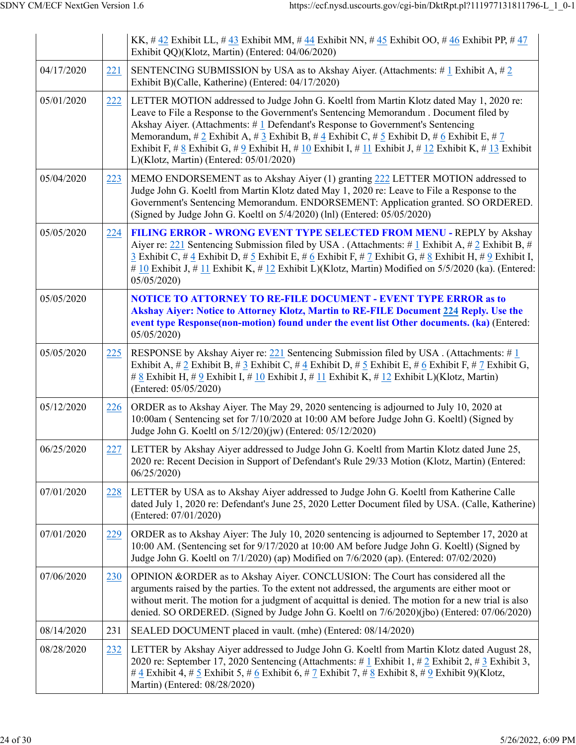|            |     | KK, #42 Exhibit LL, #43 Exhibit MM, #44 Exhibit NN, #45 Exhibit OO, #46 Exhibit PP, #47<br>Exhibit QQ)(Klotz, Martin) (Entered: 04/06/2020)                                                                                                                                                                                                                                                                                                                                                                              |
|------------|-----|--------------------------------------------------------------------------------------------------------------------------------------------------------------------------------------------------------------------------------------------------------------------------------------------------------------------------------------------------------------------------------------------------------------------------------------------------------------------------------------------------------------------------|
| 04/17/2020 | 221 | SENTENCING SUBMISSION by USA as to Akshay Aiyer. (Attachments: # 1 Exhibit A, # 2<br>Exhibit B)(Calle, Katherine) (Entered: 04/17/2020)                                                                                                                                                                                                                                                                                                                                                                                  |
| 05/01/2020 | 222 | LETTER MOTION addressed to Judge John G. Koeltl from Martin Klotz dated May 1, 2020 re:<br>Leave to File a Response to the Government's Sentencing Memorandum . Document filed by<br>Akshay Aiyer. (Attachments: $#$ 1 Defendant's Response to Government's Sentencing<br>Memorandum, # 2 Exhibit A, # 3 Exhibit B, # 4 Exhibit C, # 5 Exhibit D, # 6 Exhibit E, # 7<br>Exhibit F, # 8 Exhibit G, # 9 Exhibit H, # 10 Exhibit I, # 11 Exhibit J, # 12 Exhibit K, # 13 Exhibit<br>L)(Klotz, Martin) (Entered: 05/01/2020) |
| 05/04/2020 | 223 | MEMO ENDORSEMENT as to Akshay Aiyer (1) granting 222 LETTER MOTION addressed to<br>Judge John G. Koeltl from Martin Klotz dated May 1, 2020 re: Leave to File a Response to the<br>Government's Sentencing Memorandum. ENDORSEMENT: Application granted. SO ORDERED.<br>(Signed by Judge John G. Koeltl on 5/4/2020) (lnl) (Entered: 05/05/2020)                                                                                                                                                                         |
| 05/05/2020 | 224 | FILING ERROR - WRONG EVENT TYPE SELECTED FROM MENU - REPLY by Akshay<br>Aiyer re: 221 Sentencing Submission filed by USA. (Attachments: #1 Exhibit A, #2 Exhibit B, #<br>$\frac{3}{2}$ Exhibit C, # $\frac{4}{5}$ Exhibit D, # $\frac{5}{5}$ Exhibit E, # $\frac{6}{5}$ Exhibit F, # $\frac{7}{5}$ Exhibit G, # $\frac{8}{5}$ Exhibit H, # $\frac{9}{5}$ Exhibit I,<br># 10 Exhibit J, # 11 Exhibit K, # 12 Exhibit L)(Klotz, Martin) Modified on $5/5/2020$ (ka). (Entered:<br>05/05/2020                               |
| 05/05/2020 |     | <b>NOTICE TO ATTORNEY TO RE-FILE DOCUMENT - EVENT TYPE ERROR as to</b><br>Akshay Aiyer: Notice to Attorney Klotz, Martin to RE-FILE Document 224 Reply. Use the<br>event type Response(non-motion) found under the event list Other documents. (ka) (Entered:<br>05/05/2020                                                                                                                                                                                                                                              |
| 05/05/2020 | 225 | RESPONSE by Akshay Aiyer re: 221 Sentencing Submission filed by USA. (Attachments: # $1$<br>Exhibit A, # 2 Exhibit B, # 3 Exhibit C, # 4 Exhibit D, # 5 Exhibit E, # 6 Exhibit F, # 7 Exhibit G,<br># 8 Exhibit H, # 9 Exhibit I, # 10 Exhibit J, # 11 Exhibit K, # 12 Exhibit L)(Klotz, Martin)<br>(Entered: 05/05/2020)                                                                                                                                                                                                |
| 05/12/2020 | 226 | ORDER as to Akshay Aiyer. The May 29, 2020 sentencing is adjourned to July 10, 2020 at<br>10:00am (Sentencing set for 7/10/2020 at 10:00 AM before Judge John G. Koeltl) (Signed by<br>Judge John G. Koeltl on 5/12/20)(jw) (Entered: 05/12/2020)                                                                                                                                                                                                                                                                        |
| 06/25/2020 |     | 227 LETTER by Akshay Aiyer addressed to Judge John G. Koeltl from Martin Klotz dated June 25,<br>2020 re: Recent Decision in Support of Defendant's Rule 29/33 Motion (Klotz, Martin) (Entered:<br>06/25/2020                                                                                                                                                                                                                                                                                                            |
| 07/01/2020 | 228 | LETTER by USA as to Akshay Aiyer addressed to Judge John G. Koeltl from Katherine Calle<br>dated July 1, 2020 re: Defendant's June 25, 2020 Letter Document filed by USA. (Calle, Katherine)<br>(Entered: 07/01/2020)                                                                                                                                                                                                                                                                                                    |
| 07/01/2020 | 229 | ORDER as to Akshay Aiyer: The July 10, 2020 sentencing is adjourned to September 17, 2020 at<br>10:00 AM. (Sentencing set for 9/17/2020 at 10:00 AM before Judge John G. Koeltl) (Signed by<br>Judge John G. Koeltl on 7/1/2020) (ap) Modified on 7/6/2020 (ap). (Entered: 07/02/2020)                                                                                                                                                                                                                                   |
| 07/06/2020 | 230 | OPINION & ORDER as to Akshay Aiyer. CONCLUSION: The Court has considered all the<br>arguments raised by the parties. To the extent not addressed, the arguments are either moot or<br>without merit. The motion for a judgment of acquittal is denied. The motion for a new trial is also<br>denied. SO ORDERED. (Signed by Judge John G. Koeltl on 7/6/2020)(jbo) (Entered: 07/06/2020)                                                                                                                                 |
| 08/14/2020 | 231 | SEALED DOCUMENT placed in vault. (mhe) (Entered: 08/14/2020)                                                                                                                                                                                                                                                                                                                                                                                                                                                             |
| 08/28/2020 | 232 | LETTER by Akshay Aiyer addressed to Judge John G. Koeltl from Martin Klotz dated August 28,<br>2020 re: September 17, 2020 Sentencing (Attachments: #1 Exhibit 1, #2 Exhibit 2, #3 Exhibit 3,<br># 4 Exhibit 4, # 5 Exhibit 5, # 6 Exhibit 6, # 7 Exhibit 7, # 8 Exhibit 8, # 9 Exhibit 9)(Klotz,<br>Martin) (Entered: 08/28/2020)                                                                                                                                                                                       |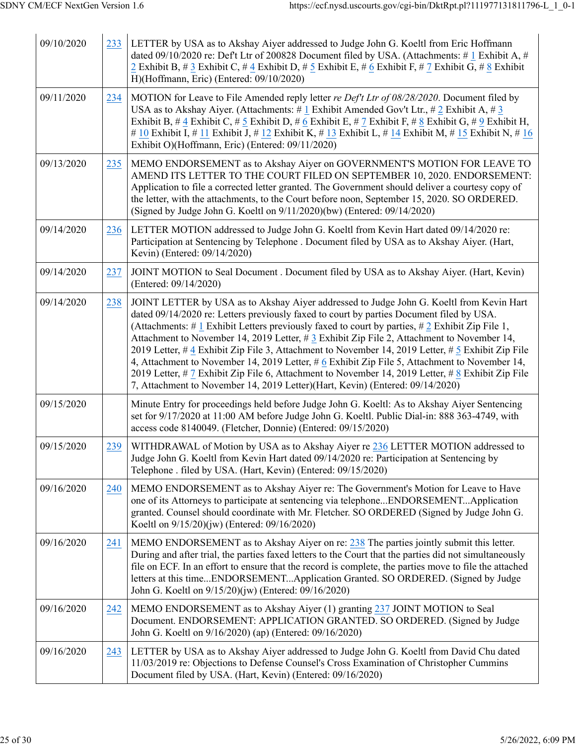| 09/10/2020 | 233 | LETTER by USA as to Akshay Aiyer addressed to Judge John G. Koeltl from Eric Hoffmann<br>dated 09/10/2020 re: Def't Ltr of 200828 Document filed by USA. (Attachments: #1 Exhibit A, #<br>2 Exhibit B, # 3 Exhibit C, # 4 Exhibit D, # 5 Exhibit E, # 6 Exhibit F, # 7 Exhibit G, # 8 Exhibit<br>H)(Hoffmann, Eric) (Entered: 09/10/2020)                                                                                                                                                                                                                                                                                                                                                                                                                                                                |
|------------|-----|----------------------------------------------------------------------------------------------------------------------------------------------------------------------------------------------------------------------------------------------------------------------------------------------------------------------------------------------------------------------------------------------------------------------------------------------------------------------------------------------------------------------------------------------------------------------------------------------------------------------------------------------------------------------------------------------------------------------------------------------------------------------------------------------------------|
| 09/11/2020 | 234 | MOTION for Leave to File Amended reply letter re Def't Ltr of 08/28/2020. Document filed by<br>USA as to Akshay Aiyer. (Attachments: #1 Exhibit Amended Gov't Ltr., #2 Exhibit A, #3<br>Exhibit B, # 4 Exhibit C, # 5 Exhibit D, # 6 Exhibit E, # 7 Exhibit F, # 8 Exhibit G, # 9 Exhibit H,<br># 10 Exhibit I, # 11 Exhibit J, # 12 Exhibit K, # 13 Exhibit L, # 14 Exhibit M, # 15 Exhibit N, # 16<br>Exhibit O)(Hoffmann, Eric) (Entered: 09/11/2020)                                                                                                                                                                                                                                                                                                                                                 |
| 09/13/2020 | 235 | MEMO ENDORSEMENT as to Akshay Aiyer on GOVERNMENT'S MOTION FOR LEAVE TO<br>AMEND ITS LETTER TO THE COURT FILED ON SEPTEMBER 10, 2020. ENDORSEMENT:<br>Application to file a corrected letter granted. The Government should deliver a courtesy copy of<br>the letter, with the attachments, to the Court before noon, September 15, 2020. SO ORDERED.<br>(Signed by Judge John G. Koeltl on 9/11/2020)(bw) (Entered: 09/14/2020)                                                                                                                                                                                                                                                                                                                                                                         |
| 09/14/2020 | 236 | LETTER MOTION addressed to Judge John G. Koeltl from Kevin Hart dated 09/14/2020 re:<br>Participation at Sentencing by Telephone . Document filed by USA as to Akshay Aiyer. (Hart,<br>Kevin) (Entered: 09/14/2020)                                                                                                                                                                                                                                                                                                                                                                                                                                                                                                                                                                                      |
| 09/14/2020 | 237 | JOINT MOTION to Seal Document . Document filed by USA as to Akshay Aiyer. (Hart, Kevin)<br>(Entered: 09/14/2020)                                                                                                                                                                                                                                                                                                                                                                                                                                                                                                                                                                                                                                                                                         |
| 09/14/2020 | 238 | JOINT LETTER by USA as to Akshay Aiyer addressed to Judge John G. Koeltl from Kevin Hart<br>dated 09/14/2020 re: Letters previously faxed to court by parties Document filed by USA.<br>(Attachments: # 1 Exhibit Letters previously faxed to court by parties, # 2 Exhibit Zip File 1,<br>Attachment to November 14, 2019 Letter, #3 Exhibit Zip File 2, Attachment to November 14,<br>2019 Letter, # $\frac{4}{3}$ Exhibit Zip File 3, Attachment to November 14, 2019 Letter, # $\frac{5}{3}$ Exhibit Zip File<br>4, Attachment to November 14, 2019 Letter, # 6 Exhibit Zip File 5, Attachment to November 14,<br>2019 Letter, # 7 Exhibit Zip File 6, Attachment to November 14, 2019 Letter, # 8 Exhibit Zip File<br>7, Attachment to November 14, 2019 Letter)(Hart, Kevin) (Entered: 09/14/2020) |
| 09/15/2020 |     | Minute Entry for proceedings held before Judge John G. Koeltl: As to Akshay Aiyer Sentencing<br>set for 9/17/2020 at 11:00 AM before Judge John G. Koeltl. Public Dial-in: 888 363-4749, with<br>access code 8140049. (Fletcher, Donnie) (Entered: 09/15/2020)                                                                                                                                                                                                                                                                                                                                                                                                                                                                                                                                           |
| 09/15/2020 | 239 | WITHDRAWAL of Motion by USA as to Akshay Aiyer re 236 LETTER MOTION addressed to<br>Judge John G. Koeltl from Kevin Hart dated 09/14/2020 re: Participation at Sentencing by<br>Telephone . filed by USA. (Hart, Kevin) (Entered: 09/15/2020)                                                                                                                                                                                                                                                                                                                                                                                                                                                                                                                                                            |
| 09/16/2020 | 240 | MEMO ENDORSEMENT as to Akshay Aiyer re: The Government's Motion for Leave to Have<br>one of its Attorneys to participate at sentencing via telephoneENDORSEMENTApplication<br>granted. Counsel should coordinate with Mr. Fletcher. SO ORDERED (Signed by Judge John G.<br>Koeltl on 9/15/20)(jw) (Entered: 09/16/2020)                                                                                                                                                                                                                                                                                                                                                                                                                                                                                  |
| 09/16/2020 | 241 | MEMO ENDORSEMENT as to Akshay Aiyer on re: $238$ The parties jointly submit this letter.<br>During and after trial, the parties faxed letters to the Court that the parties did not simultaneously<br>file on ECF. In an effort to ensure that the record is complete, the parties move to file the attached<br>letters at this timeENDORSEMENTApplication Granted. SO ORDERED. (Signed by Judge<br>John G. Koeltl on 9/15/20)(jw) (Entered: 09/16/2020)                                                                                                                                                                                                                                                                                                                                                 |
| 09/16/2020 | 242 | MEMO ENDORSEMENT as to Akshay Aiyer (1) granting 237 JOINT MOTION to Seal<br>Document. ENDORSEMENT: APPLICATION GRANTED. SO ORDERED. (Signed by Judge<br>John G. Koeltl on 9/16/2020) (ap) (Entered: 09/16/2020)                                                                                                                                                                                                                                                                                                                                                                                                                                                                                                                                                                                         |
| 09/16/2020 | 243 | LETTER by USA as to Akshay Aiyer addressed to Judge John G. Koeltl from David Chu dated<br>11/03/2019 re: Objections to Defense Counsel's Cross Examination of Christopher Cummins<br>Document filed by USA. (Hart, Kevin) (Entered: 09/16/2020)                                                                                                                                                                                                                                                                                                                                                                                                                                                                                                                                                         |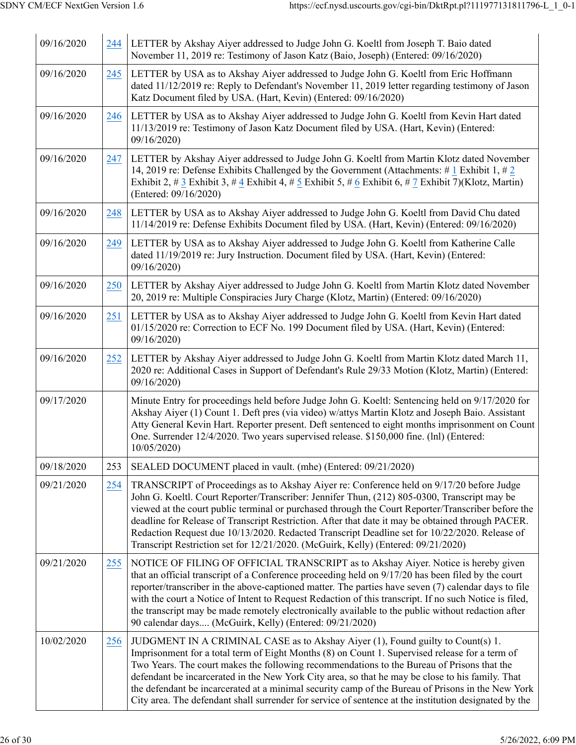| 09/16/2020 | 244 | LETTER by Akshay Aiyer addressed to Judge John G. Koeltl from Joseph T. Baio dated<br>November 11, 2019 re: Testimony of Jason Katz (Baio, Joseph) (Entered: 09/16/2020)                                                                                                                                                                                                                                                                                                                                                                                                                          |
|------------|-----|---------------------------------------------------------------------------------------------------------------------------------------------------------------------------------------------------------------------------------------------------------------------------------------------------------------------------------------------------------------------------------------------------------------------------------------------------------------------------------------------------------------------------------------------------------------------------------------------------|
| 09/16/2020 | 245 | LETTER by USA as to Akshay Aiyer addressed to Judge John G. Koeltl from Eric Hoffmann<br>dated 11/12/2019 re: Reply to Defendant's November 11, 2019 letter regarding testimony of Jason<br>Katz Document filed by USA. (Hart, Kevin) (Entered: 09/16/2020)                                                                                                                                                                                                                                                                                                                                       |
| 09/16/2020 | 246 | LETTER by USA as to Akshay Aiyer addressed to Judge John G. Koeltl from Kevin Hart dated<br>11/13/2019 re: Testimony of Jason Katz Document filed by USA. (Hart, Kevin) (Entered:<br>09/16/2020)                                                                                                                                                                                                                                                                                                                                                                                                  |
| 09/16/2020 | 247 | LETTER by Akshay Aiyer addressed to Judge John G. Koeltl from Martin Klotz dated November<br>14, 2019 re: Defense Exhibits Challenged by the Government (Attachments: #1 Exhibit 1, #2<br>Exhibit 2, # 3 Exhibit 3, # 4 Exhibit 4, # 5 Exhibit 5, # 6 Exhibit 6, # 7 Exhibit 7)(Klotz, Martin)<br>(Entered: 09/16/2020)                                                                                                                                                                                                                                                                           |
| 09/16/2020 | 248 | LETTER by USA as to Akshay Aiyer addressed to Judge John G. Koeltl from David Chu dated<br>11/14/2019 re: Defense Exhibits Document filed by USA. (Hart, Kevin) (Entered: 09/16/2020)                                                                                                                                                                                                                                                                                                                                                                                                             |
| 09/16/2020 | 249 | LETTER by USA as to Akshay Aiyer addressed to Judge John G. Koeltl from Katherine Calle<br>dated 11/19/2019 re: Jury Instruction. Document filed by USA. (Hart, Kevin) (Entered:<br>09/16/2020)                                                                                                                                                                                                                                                                                                                                                                                                   |
| 09/16/2020 | 250 | LETTER by Akshay Aiyer addressed to Judge John G. Koeltl from Martin Klotz dated November<br>20, 2019 re: Multiple Conspiracies Jury Charge (Klotz, Martin) (Entered: 09/16/2020)                                                                                                                                                                                                                                                                                                                                                                                                                 |
| 09/16/2020 | 251 | LETTER by USA as to Akshay Aiyer addressed to Judge John G. Koeltl from Kevin Hart dated<br>01/15/2020 re: Correction to ECF No. 199 Document filed by USA. (Hart, Kevin) (Entered:<br>09/16/2020)                                                                                                                                                                                                                                                                                                                                                                                                |
| 09/16/2020 | 252 | LETTER by Akshay Aiyer addressed to Judge John G. Koeltl from Martin Klotz dated March 11,<br>2020 re: Additional Cases in Support of Defendant's Rule 29/33 Motion (Klotz, Martin) (Entered:<br>09/16/2020)                                                                                                                                                                                                                                                                                                                                                                                      |
| 09/17/2020 |     | Minute Entry for proceedings held before Judge John G. Koeltl: Sentencing held on 9/17/2020 for<br>Akshay Aiyer (1) Count 1. Deft pres (via video) w/attys Martin Klotz and Joseph Baio. Assistant<br>Atty General Kevin Hart. Reporter present. Deft sentenced to eight months imprisonment on Count<br>One. Surrender 12/4/2020. Two years supervised release. \$150,000 fine. (lnl) (Entered:<br>10/05/2020                                                                                                                                                                                    |
| 09/18/2020 | 253 | SEALED DOCUMENT placed in vault. (mhe) (Entered: 09/21/2020)                                                                                                                                                                                                                                                                                                                                                                                                                                                                                                                                      |
| 09/21/2020 | 254 | TRANSCRIPT of Proceedings as to Akshay Aiyer re: Conference held on 9/17/20 before Judge<br>John G. Koeltl. Court Reporter/Transcriber: Jennifer Thun, (212) 805-0300, Transcript may be<br>viewed at the court public terminal or purchased through the Court Reporter/Transcriber before the<br>deadline for Release of Transcript Restriction. After that date it may be obtained through PACER.<br>Redaction Request due 10/13/2020. Redacted Transcript Deadline set for 10/22/2020. Release of<br>Transcript Restriction set for 12/21/2020. (McGuirk, Kelly) (Entered: 09/21/2020)         |
| 09/21/2020 | 255 | NOTICE OF FILING OF OFFICIAL TRANSCRIPT as to Akshay Aiyer. Notice is hereby given<br>that an official transcript of a Conference proceeding held on 9/17/20 has been filed by the court<br>reporter/transcriber in the above-captioned matter. The parties have seven (7) calendar days to file<br>with the court a Notice of Intent to Request Redaction of this transcript. If no such Notice is filed,<br>the transcript may be made remotely electronically available to the public without redaction after<br>90 calendar days (McGuirk, Kelly) (Entered: 09/21/2020)                       |
| 10/02/2020 | 256 | JUDGMENT IN A CRIMINAL CASE as to Akshay Aiyer (1), Found guilty to Count(s) 1.<br>Imprisonment for a total term of Eight Months (8) on Count 1. Supervised release for a term of<br>Two Years. The court makes the following recommendations to the Bureau of Prisons that the<br>defendant be incarcerated in the New York City area, so that he may be close to his family. That<br>the defendant be incarcerated at a minimal security camp of the Bureau of Prisons in the New York<br>City area. The defendant shall surrender for service of sentence at the institution designated by the |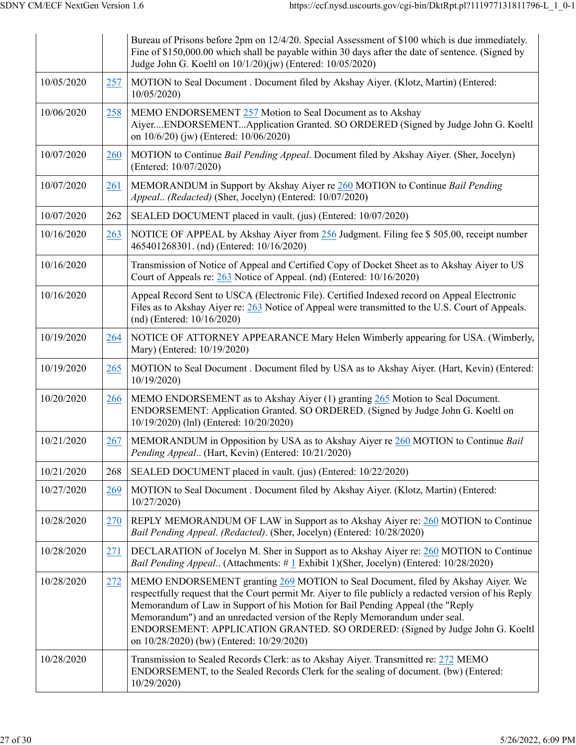|            |     | Bureau of Prisons before 2pm on 12/4/20. Special Assessment of \$100 which is due immediately.<br>Fine of \$150,000.00 which shall be payable within 30 days after the date of sentence. (Signed by<br>Judge John G. Koeltl on 10/1/20)(jw) (Entered: 10/05/2020)                                                                                                                                                                                                                       |
|------------|-----|-----------------------------------------------------------------------------------------------------------------------------------------------------------------------------------------------------------------------------------------------------------------------------------------------------------------------------------------------------------------------------------------------------------------------------------------------------------------------------------------|
| 10/05/2020 | 257 | MOTION to Seal Document . Document filed by Akshay Aiyer. (Klotz, Martin) (Entered:<br>10/05/2020                                                                                                                                                                                                                                                                                                                                                                                       |
| 10/06/2020 | 258 | MEMO ENDORSEMENT 257 Motion to Seal Document as to Akshay<br>AiyerENDORSEMENTApplication Granted. SO ORDERED (Signed by Judge John G. Koeltl<br>on 10/6/20) (jw) (Entered: 10/06/2020)                                                                                                                                                                                                                                                                                                  |
| 10/07/2020 | 260 | MOTION to Continue Bail Pending Appeal. Document filed by Akshay Aiyer. (Sher, Jocelyn)<br>(Entered: 10/07/2020)                                                                                                                                                                                                                                                                                                                                                                        |
| 10/07/2020 | 261 | MEMORANDUM in Support by Akshay Aiyer re 260 MOTION to Continue Bail Pending<br>Appeal (Redacted) (Sher, Jocelyn) (Entered: 10/07/2020)                                                                                                                                                                                                                                                                                                                                                 |
| 10/07/2020 | 262 | SEALED DOCUMENT placed in vault. (jus) (Entered: 10/07/2020)                                                                                                                                                                                                                                                                                                                                                                                                                            |
| 10/16/2020 | 263 | NOTICE OF APPEAL by Akshay Aiyer from 256 Judgment. Filing fee \$ 505.00, receipt number<br>465401268301. (nd) (Entered: 10/16/2020)                                                                                                                                                                                                                                                                                                                                                    |
| 10/16/2020 |     | Transmission of Notice of Appeal and Certified Copy of Docket Sheet as to Akshay Aiyer to US<br>Court of Appeals re: 263 Notice of Appeal. (nd) (Entered: 10/16/2020)                                                                                                                                                                                                                                                                                                                   |
| 10/16/2020 |     | Appeal Record Sent to USCA (Electronic File). Certified Indexed record on Appeal Electronic<br>Files as to Akshay Aiyer re: 263 Notice of Appeal were transmitted to the U.S. Court of Appeals.<br>$(nd)$ (Entered: $10/16/2020$ )                                                                                                                                                                                                                                                      |
| 10/19/2020 | 264 | NOTICE OF ATTORNEY APPEARANCE Mary Helen Wimberly appearing for USA. (Wimberly,<br>Mary) (Entered: 10/19/2020)                                                                                                                                                                                                                                                                                                                                                                          |
| 10/19/2020 | 265 | MOTION to Seal Document . Document filed by USA as to Akshay Aiyer. (Hart, Kevin) (Entered:<br>10/19/2020)                                                                                                                                                                                                                                                                                                                                                                              |
| 10/20/2020 | 266 | MEMO ENDORSEMENT as to Akshay Aiyer (1) granting 265 Motion to Seal Document.<br>ENDORSEMENT: Application Granted. SO ORDERED. (Signed by Judge John G. Koeltl on<br>10/19/2020) (lnl) (Entered: 10/20/2020)                                                                                                                                                                                                                                                                            |
| 10/21/2020 | 267 | MEMORANDUM in Opposition by USA as to Akshay Aiyer re 260 MOTION to Continue Bail<br>Pending Appeal (Hart, Kevin) (Entered: 10/21/2020)                                                                                                                                                                                                                                                                                                                                                 |
| 10/21/2020 | 268 | SEALED DOCUMENT placed in vault. (jus) (Entered: 10/22/2020)                                                                                                                                                                                                                                                                                                                                                                                                                            |
| 10/27/2020 | 269 | MOTION to Seal Document . Document filed by Akshay Aiyer. (Klotz, Martin) (Entered:<br>10/27/2020                                                                                                                                                                                                                                                                                                                                                                                       |
| 10/28/2020 | 270 | REPLY MEMORANDUM OF LAW in Support as to Akshay Aiyer re: 260 MOTION to Continue<br>Bail Pending Appeal. (Redacted). (Sher, Jocelyn) (Entered: 10/28/2020)                                                                                                                                                                                                                                                                                                                              |
| 10/28/2020 | 271 | DECLARATION of Jocelyn M. Sher in Support as to Akshay Aiyer re: 260 MOTION to Continue<br>Bail Pending Appeal (Attachments: #1 Exhibit 1)(Sher, Jocelyn) (Entered: 10/28/2020)                                                                                                                                                                                                                                                                                                         |
| 10/28/2020 | 272 | MEMO ENDORSEMENT granting 269 MOTION to Seal Document, filed by Akshay Aiyer. We<br>respectfully request that the Court permit Mr. Aiyer to file publicly a redacted version of his Reply<br>Memorandum of Law in Support of his Motion for Bail Pending Appeal (the "Reply<br>Memorandum") and an unredacted version of the Reply Memorandum under seal.<br>ENDORSEMENT: APPLICATION GRANTED. SO ORDERED: (Signed by Judge John G. Koeltl<br>on 10/28/2020) (bw) (Entered: 10/29/2020) |
| 10/28/2020 |     | Transmission to Sealed Records Clerk: as to Akshay Aiyer. Transmitted re: 272 MEMO<br>ENDORSEMENT, to the Sealed Records Clerk for the sealing of document. (bw) (Entered:<br>10/29/2020)                                                                                                                                                                                                                                                                                               |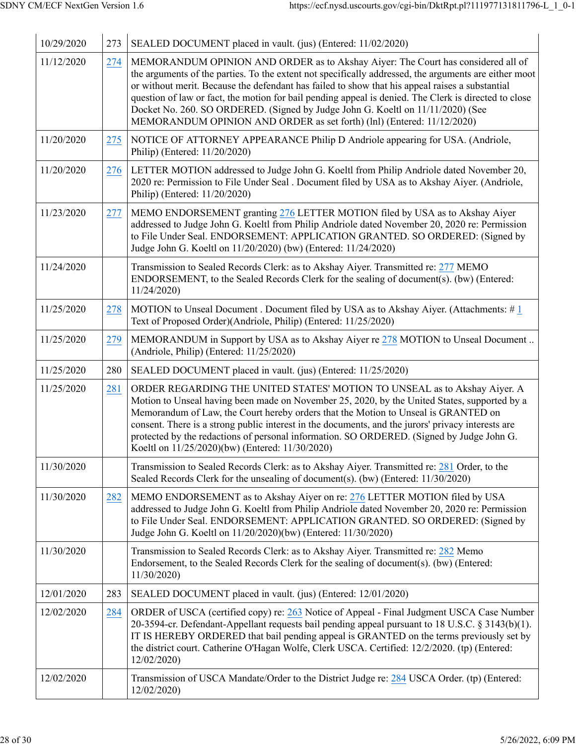| 10/29/2020 | 273 | SEALED DOCUMENT placed in vault. (jus) (Entered: 11/02/2020)                                                                                                                                                                                                                                                                                                                                                                                                                                                                                                       |
|------------|-----|--------------------------------------------------------------------------------------------------------------------------------------------------------------------------------------------------------------------------------------------------------------------------------------------------------------------------------------------------------------------------------------------------------------------------------------------------------------------------------------------------------------------------------------------------------------------|
| 11/12/2020 | 274 | MEMORANDUM OPINION AND ORDER as to Akshay Aiyer: The Court has considered all of<br>the arguments of the parties. To the extent not specifically addressed, the arguments are either moot<br>or without merit. Because the defendant has failed to show that his appeal raises a substantial<br>question of law or fact, the motion for bail pending appeal is denied. The Clerk is directed to close<br>Docket No. 260. SO ORDERED. (Signed by Judge John G. Koeltl on 11/11/2020) (See<br>MEMORANDUM OPINION AND ORDER as set forth) (lnl) (Entered: 11/12/2020) |
| 11/20/2020 | 275 | NOTICE OF ATTORNEY APPEARANCE Philip D Andriole appearing for USA. (Andriole,<br>Philip) (Entered: 11/20/2020)                                                                                                                                                                                                                                                                                                                                                                                                                                                     |
| 11/20/2020 | 276 | LETTER MOTION addressed to Judge John G. Koeltl from Philip Andriole dated November 20,<br>2020 re: Permission to File Under Seal . Document filed by USA as to Akshay Aiyer. (Andriole,<br>Philip) (Entered: 11/20/2020)                                                                                                                                                                                                                                                                                                                                          |
| 11/23/2020 | 277 | MEMO ENDORSEMENT granting 276 LETTER MOTION filed by USA as to Akshay Aiyer<br>addressed to Judge John G. Koeltl from Philip Andriole dated November 20, 2020 re: Permission<br>to File Under Seal. ENDORSEMENT: APPLICATION GRANTED. SO ORDERED: (Signed by<br>Judge John G. Koeltl on 11/20/2020) (bw) (Entered: 11/24/2020)                                                                                                                                                                                                                                     |
| 11/24/2020 |     | Transmission to Sealed Records Clerk: as to Akshay Aiyer. Transmitted re: 277 MEMO<br>ENDORSEMENT, to the Sealed Records Clerk for the sealing of document(s). (bw) (Entered:<br>11/24/2020)                                                                                                                                                                                                                                                                                                                                                                       |
| 11/25/2020 | 278 | MOTION to Unseal Document . Document filed by USA as to Akshay Aiyer. (Attachments: $\#$ 1<br>Text of Proposed Order)(Andriole, Philip) (Entered: 11/25/2020)                                                                                                                                                                                                                                                                                                                                                                                                      |
| 11/25/2020 | 279 | MEMORANDUM in Support by USA as to Akshay Aiyer re 278 MOTION to Unseal Document<br>(Andriole, Philip) (Entered: 11/25/2020)                                                                                                                                                                                                                                                                                                                                                                                                                                       |
| 11/25/2020 | 280 | SEALED DOCUMENT placed in vault. (jus) (Entered: 11/25/2020)                                                                                                                                                                                                                                                                                                                                                                                                                                                                                                       |
| 11/25/2020 | 281 | ORDER REGARDING THE UNITED STATES' MOTION TO UNSEAL as to Akshay Aiyer. A<br>Motion to Unseal having been made on November 25, 2020, by the United States, supported by a<br>Memorandum of Law, the Court hereby orders that the Motion to Unseal is GRANTED on<br>consent. There is a strong public interest in the documents, and the jurors' privacy interests are<br>protected by the redactions of personal information. SO ORDERED. (Signed by Judge John G.<br>Koeltl on 11/25/2020)(bw) (Entered: 11/30/2020)                                              |
| 11/30/2020 |     | Transmission to Sealed Records Clerk: as to Akshay Aiyer. Transmitted re: 281 Order, to the<br>Sealed Records Clerk for the unsealing of document(s). (bw) (Entered: 11/30/2020)                                                                                                                                                                                                                                                                                                                                                                                   |
| 11/30/2020 | 282 | MEMO ENDORSEMENT as to Akshay Aiyer on re: 276 LETTER MOTION filed by USA<br>addressed to Judge John G. Koeltl from Philip Andriole dated November 20, 2020 re: Permission<br>to File Under Seal. ENDORSEMENT: APPLICATION GRANTED. SO ORDERED: (Signed by<br>Judge John G. Koeltl on 11/20/2020)(bw) (Entered: 11/30/2020)                                                                                                                                                                                                                                        |
| 11/30/2020 |     | Transmission to Sealed Records Clerk: as to Akshay Aiyer. Transmitted re: 282 Memo<br>Endorsement, to the Sealed Records Clerk for the sealing of document(s). (bw) (Entered:<br>11/30/2020)                                                                                                                                                                                                                                                                                                                                                                       |
| 12/01/2020 | 283 | SEALED DOCUMENT placed in vault. (jus) (Entered: 12/01/2020)                                                                                                                                                                                                                                                                                                                                                                                                                                                                                                       |
| 12/02/2020 | 284 | ORDER of USCA (certified copy) re: 263 Notice of Appeal - Final Judgment USCA Case Number<br>20-3594-cr. Defendant-Appellant requests bail pending appeal pursuant to 18 U.S.C. § 3143(b)(1).<br>IT IS HEREBY ORDERED that bail pending appeal is GRANTED on the terms previously set by<br>the district court. Catherine O'Hagan Wolfe, Clerk USCA. Certified: 12/2/2020. (tp) (Entered:<br>12/02/2020)                                                                                                                                                           |
| 12/02/2020 |     | Transmission of USCA Mandate/Order to the District Judge re: 284 USCA Order. (tp) (Entered:<br>12/02/2020)                                                                                                                                                                                                                                                                                                                                                                                                                                                         |